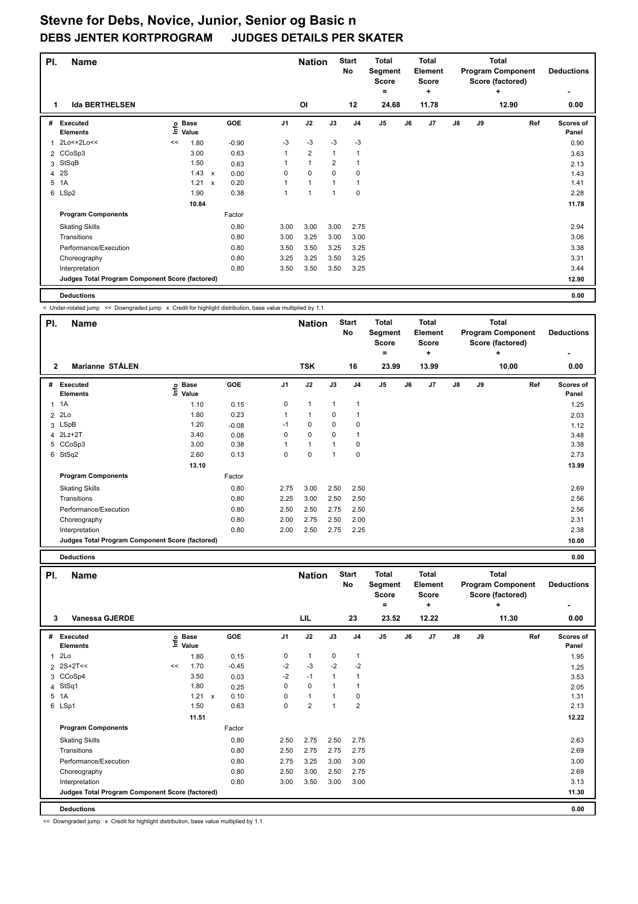| PI. | <b>Name</b>                                     |      |                      |                           |         |                | <b>Nation</b>  |                | <b>Start</b><br>No      | <b>Total</b><br>Segment<br><b>Score</b><br>۰ |    | <b>Total</b><br>Element<br><b>Score</b><br>٠ |               |    | <b>Total</b><br><b>Program Component</b><br>Score (factored)<br>÷ | <b>Deductions</b>  |
|-----|-------------------------------------------------|------|----------------------|---------------------------|---------|----------------|----------------|----------------|-------------------------|----------------------------------------------|----|----------------------------------------------|---------------|----|-------------------------------------------------------------------|--------------------|
| 1   | <b>Ida BERTHELSEN</b>                           |      |                      |                           |         |                | 0I             |                | 12                      | 24.68                                        |    | 11.78                                        |               |    | 12.90                                                             | 0.00               |
| #   | Executed<br><b>Elements</b>                     | ١nfo | <b>Base</b><br>Value |                           | GOE     | J <sub>1</sub> | J2             | J3             | J <sub>4</sub>          | J <sub>5</sub>                               | J6 | J7                                           | $\mathsf{J}8$ | J9 | Ref                                                               | Scores of<br>Panel |
| 1   | 2Lo<+2Lo<<                                      | <<   | 1.80                 |                           | $-0.90$ | $-3$           | $-3$           | $-3$           | $-3$                    |                                              |    |                                              |               |    |                                                                   | 0.90               |
|     | 2 CCoSp3                                        |      | 3.00                 |                           | 0.63    | 1              | $\overline{2}$ | $\overline{1}$ | $\overline{\mathbf{1}}$ |                                              |    |                                              |               |    |                                                                   | 3.63               |
| 3   | StSqB                                           |      | 1.50                 |                           | 0.63    |                | $\mathbf{1}$   | 2              | 1                       |                                              |    |                                              |               |    |                                                                   | 2.13               |
| 4   | <b>2S</b>                                       |      | 1.43                 | $\boldsymbol{\mathsf{x}}$ | 0.00    | 0              | $\mathbf 0$    | $\Omega$       | 0                       |                                              |    |                                              |               |    |                                                                   | 1.43               |
| 5   | 1A                                              |      | 1.21                 | $\boldsymbol{\mathsf{x}}$ | 0.20    |                | $\overline{1}$ | 1              | 1                       |                                              |    |                                              |               |    |                                                                   | 1.41               |
|     | 6 LSp2                                          |      | 1.90                 |                           | 0.38    | 1              | 1              | и              | 0                       |                                              |    |                                              |               |    |                                                                   | 2.28               |
|     |                                                 |      | 10.84                |                           |         |                |                |                |                         |                                              |    |                                              |               |    |                                                                   | 11.78              |
|     | <b>Program Components</b>                       |      |                      |                           | Factor  |                |                |                |                         |                                              |    |                                              |               |    |                                                                   |                    |
|     | <b>Skating Skills</b>                           |      |                      |                           | 0.80    | 3.00           | 3.00           | 3.00           | 2.75                    |                                              |    |                                              |               |    |                                                                   | 2.94               |
|     | Transitions                                     |      |                      |                           | 0.80    | 3.00           | 3.25           | 3.00           | 3.00                    |                                              |    |                                              |               |    |                                                                   | 3.06               |
|     | Performance/Execution                           |      |                      |                           | 0.80    | 3.50           | 3.50           | 3.25           | 3.25                    |                                              |    |                                              |               |    |                                                                   | 3.38               |
|     | Choreography                                    |      |                      |                           | 0.80    | 3.25           | 3.25           | 3.50           | 3.25                    |                                              |    |                                              |               |    |                                                                   | 3.31               |
|     | Interpretation                                  |      |                      |                           | 0.80    | 3.50           | 3.50           | 3.50           | 3.25                    |                                              |    |                                              |               |    |                                                                   | 3.44               |
|     | Judges Total Program Component Score (factored) |      |                      |                           |         |                |                |                |                         |                                              |    |                                              |               |    |                                                                   | 12.90              |
|     | <b>Deductions</b>                               |      |                      |                           |         |                |                |                |                         |                                              |    |                                              |               |    |                                                                   | 0.00               |

< Under-rotated jump << Downgraded jump x Credit for highlight distribution, base value multiplied by 1.1

| PI.          | <b>Name</b>                                     |                            |            |             | <b>Nation</b> |              | <b>Start</b><br>No | <b>Total</b><br>Segment<br>Score<br>= |    | <b>Total</b><br>Element<br><b>Score</b><br>÷ |               |    | <b>Total</b><br><b>Program Component</b><br>Score (factored)<br>÷ | <b>Deductions</b>  |
|--------------|-------------------------------------------------|----------------------------|------------|-------------|---------------|--------------|--------------------|---------------------------------------|----|----------------------------------------------|---------------|----|-------------------------------------------------------------------|--------------------|
| $\mathbf{2}$ | <b>Marianne STÅLEN</b>                          |                            |            |             | <b>TSK</b>    |              | 16                 | 23.99                                 |    | 13.99                                        |               |    | 10.00                                                             | 0.00               |
| #            | Executed<br><b>Elements</b>                     | <b>Base</b><br>١m<br>Value | <b>GOE</b> | J1          | J2            | J3           | J <sub>4</sub>     | J <sub>5</sub>                        | J6 | J <sub>7</sub>                               | $\mathsf{J}8$ | J9 | Ref                                                               | Scores of<br>Panel |
| $\mathbf{1}$ | 1A                                              | 1.10                       | 0.15       | $\mathbf 0$ | $\mathbf{1}$  | $\mathbf{1}$ | $\overline{1}$     |                                       |    |                                              |               |    |                                                                   | 1.25               |
|              | $2$ 2Lo                                         | 1.80                       | 0.23       | 1           | $\mathbf{1}$  | 0            |                    |                                       |    |                                              |               |    |                                                                   | 2.03               |
|              | 3 LSpB                                          | 1.20                       | $-0.08$    | $-1$        | 0             | 0            | 0                  |                                       |    |                                              |               |    |                                                                   | 1.12               |
|              | 4 2Lz+2T                                        | 3.40                       | 0.08       | 0           | $\mathbf 0$   | 0            | 1                  |                                       |    |                                              |               |    |                                                                   | 3.48               |
|              | 5 CCoSp3                                        | 3.00                       | 0.38       |             | $\mathbf{1}$  |              | 0                  |                                       |    |                                              |               |    |                                                                   | 3.38               |
|              | 6 StSq2                                         | 2.60                       | 0.13       | 0           | $\mathbf 0$   |              | 0                  |                                       |    |                                              |               |    |                                                                   | 2.73               |
|              |                                                 | 13.10                      |            |             |               |              |                    |                                       |    |                                              |               |    |                                                                   | 13.99              |
|              | <b>Program Components</b>                       |                            | Factor     |             |               |              |                    |                                       |    |                                              |               |    |                                                                   |                    |
|              | <b>Skating Skills</b>                           |                            | 0.80       | 2.75        | 3.00          | 2.50         | 2.50               |                                       |    |                                              |               |    |                                                                   | 2.69               |
|              | Transitions                                     |                            | 0.80       | 2.25        | 3.00          | 2.50         | 2.50               |                                       |    |                                              |               |    |                                                                   | 2.56               |
|              | Performance/Execution                           |                            | 0.80       | 2.50        | 2.50          | 2.75         | 2.50               |                                       |    |                                              |               |    |                                                                   | 2.56               |
|              | Choreography                                    |                            | 0.80       | 2.00        | 2.75          | 2.50         | 2.00               |                                       |    |                                              |               |    |                                                                   | 2.31               |
|              | Interpretation                                  |                            | 0.80       | 2.00        | 2.50          | 2.75         | 2.25               |                                       |    |                                              |               |    |                                                                   | 2.38               |
|              | Judges Total Program Component Score (factored) |                            |            |             |               |              |                    |                                       |    |                                              |               |    |                                                                   | 10.00              |

**Deductions 0.00**

| PI.          | <b>Name</b>                                     |    |                            |                      |      | <b>Nation</b>  |      | <b>Start</b><br>No | <b>Total</b><br>Segment<br><b>Score</b><br>۰ |    | <b>Total</b><br>Element<br><b>Score</b><br>٠ |               |    | <b>Total</b><br><b>Program Component</b><br>Score (factored)<br>٠ | <b>Deductions</b>  |
|--------------|-------------------------------------------------|----|----------------------------|----------------------|------|----------------|------|--------------------|----------------------------------------------|----|----------------------------------------------|---------------|----|-------------------------------------------------------------------|--------------------|
| 3            | <b>Vanessa GJERDE</b>                           |    |                            |                      |      | LIL            |      | 23                 | 23.52                                        |    | 12.22                                        |               |    | 11.30                                                             | 0.00               |
| #            | Executed<br><b>Elements</b>                     |    | e Base<br>E Value<br>Value | GOE                  | J1   | J2             | J3   | J <sub>4</sub>     | J5                                           | J6 | J7                                           | $\mathsf{J}8$ | J9 | Ref                                                               | Scores of<br>Panel |
| $\mathbf{1}$ | 2Lo                                             |    | 1.80                       | 0.15                 | 0    | $\mathbf{1}$   | 0    | $\mathbf{1}$       |                                              |    |                                              |               |    |                                                                   | 1.95               |
|              | 2 2S+2T<<                                       | << | 1.70                       | $-0.45$              | $-2$ | $-3$           | $-2$ | $-2$               |                                              |    |                                              |               |    |                                                                   | 1.25               |
|              | 3 CCoSp4                                        |    | 3.50                       | 0.03                 | $-2$ | $-1$           | 1    | $\mathbf{1}$       |                                              |    |                                              |               |    |                                                                   | 3.53               |
|              | 4 StSq1                                         |    | 1.80                       | 0.25                 | 0    | $\mathbf 0$    | 1    | $\mathbf{1}$       |                                              |    |                                              |               |    |                                                                   | 2.05               |
|              | 5 1A                                            |    | 1.21                       | 0.10<br>$\mathsf{x}$ | 0    | $\mathbf{1}$   |      | 0                  |                                              |    |                                              |               |    |                                                                   | 1.31               |
|              | 6 LSp1                                          |    | 1.50                       | 0.63                 | 0    | $\overline{2}$ | 1    | $\overline{2}$     |                                              |    |                                              |               |    |                                                                   | 2.13               |
|              |                                                 |    | 11.51                      |                      |      |                |      |                    |                                              |    |                                              |               |    |                                                                   | 12.22              |
|              | <b>Program Components</b>                       |    |                            | Factor               |      |                |      |                    |                                              |    |                                              |               |    |                                                                   |                    |
|              | <b>Skating Skills</b>                           |    |                            | 0.80                 | 2.50 | 2.75           | 2.50 | 2.75               |                                              |    |                                              |               |    |                                                                   | 2.63               |
|              | Transitions                                     |    |                            | 0.80                 | 2.50 | 2.75           | 2.75 | 2.75               |                                              |    |                                              |               |    |                                                                   | 2.69               |
|              | Performance/Execution                           |    |                            | 0.80                 | 2.75 | 3.25           | 3.00 | 3.00               |                                              |    |                                              |               |    |                                                                   | 3.00               |
|              | Choreography                                    |    |                            | 0.80                 | 2.50 | 3.00           | 2.50 | 2.75               |                                              |    |                                              |               |    |                                                                   | 2.69               |
|              | Interpretation                                  |    |                            | 0.80                 | 3.00 | 3.50           | 3.00 | 3.00               |                                              |    |                                              |               |    |                                                                   | 3.13               |
|              | Judges Total Program Component Score (factored) |    |                            |                      |      |                |      |                    |                                              |    |                                              |               |    |                                                                   | 11.30              |
|              | <b>Deductions</b>                               |    |                            |                      |      |                |      |                    |                                              |    |                                              |               |    |                                                                   | 0.00               |

<< Downgraded jump x Credit for highlight distribution, base value multiplied by 1.1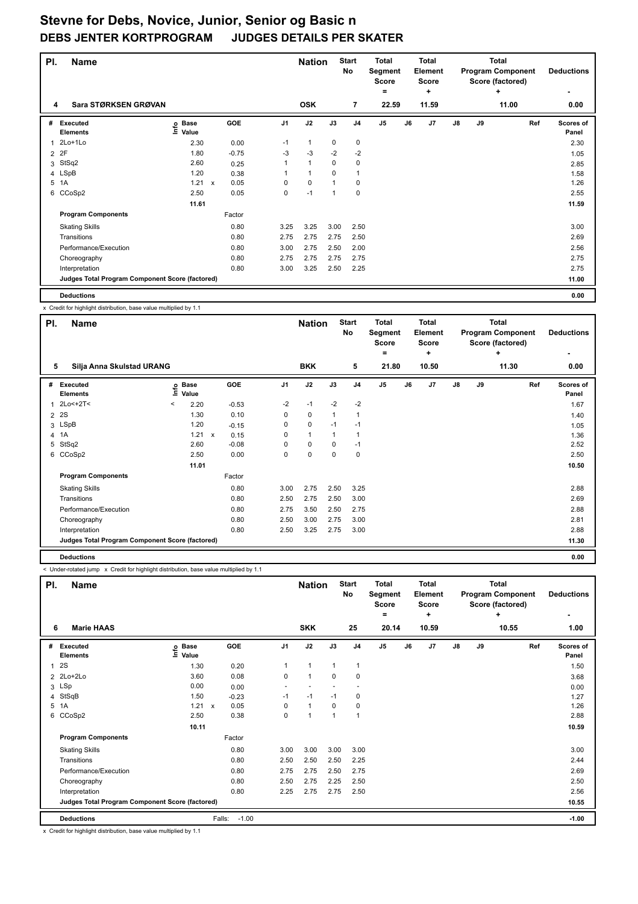| PI.            | <b>Name</b>                                     |                              |                           |         |      | <b>Nation</b>  |             | <b>Start</b><br>No | <b>Total</b><br>Segment<br><b>Score</b> |    | Total<br>Element<br><b>Score</b> |               |    | <b>Total</b><br><b>Program Component</b><br>Score (factored) | <b>Deductions</b>  |
|----------------|-------------------------------------------------|------------------------------|---------------------------|---------|------|----------------|-------------|--------------------|-----------------------------------------|----|----------------------------------|---------------|----|--------------------------------------------------------------|--------------------|
| 4              | Sara STØRKSEN GRØVAN                            |                              |                           |         |      | <b>OSK</b>     |             | $\overline{7}$     | $\equiv$<br>22.59                       |    | ÷<br>11.59                       |               |    | ٠<br>11.00                                                   | 0.00               |
| #              | Executed<br><b>Elements</b>                     | <b>Base</b><br>lnfo<br>Value |                           | GOE     | J1   | J2             | J3          | J <sub>4</sub>     | J <sub>5</sub>                          | J6 | J <sub>7</sub>                   | $\mathsf{J}8$ | J9 | Ref                                                          | Scores of<br>Panel |
| $\mathbf 1$    | 2Lo+1Lo                                         | 2.30                         |                           | 0.00    | $-1$ | 1              | 0           | $\mathbf 0$        |                                         |    |                                  |               |    |                                                              | 2.30               |
| $\overline{2}$ | 2F                                              | 1.80                         |                           | $-0.75$ | $-3$ | -3             | $-2$        | $-2$               |                                         |    |                                  |               |    |                                                              | 1.05               |
| 3              | StSq2                                           | 2.60                         |                           | 0.25    | 1    | $\mathbf{1}$   | $\Omega$    | $\mathbf 0$        |                                         |    |                                  |               |    |                                                              | 2.85               |
|                | 4 LSpB                                          | 1.20                         |                           | 0.38    |      | $\overline{1}$ | $\Omega$    | 1                  |                                         |    |                                  |               |    |                                                              | 1.58               |
| 5              | 1A                                              | 1.21                         | $\boldsymbol{\mathsf{x}}$ | 0.05    | 0    | $\mathbf 0$    |             | $\mathbf 0$        |                                         |    |                                  |               |    |                                                              | 1.26               |
| 6              | CCoSp2                                          | 2.50                         |                           | 0.05    | 0    | $-1$           | $\mathbf 1$ | $\mathbf 0$        |                                         |    |                                  |               |    |                                                              | 2.55               |
|                |                                                 | 11.61                        |                           |         |      |                |             |                    |                                         |    |                                  |               |    |                                                              | 11.59              |
|                | <b>Program Components</b>                       |                              |                           | Factor  |      |                |             |                    |                                         |    |                                  |               |    |                                                              |                    |
|                | <b>Skating Skills</b>                           |                              |                           | 0.80    | 3.25 | 3.25           | 3.00        | 2.50               |                                         |    |                                  |               |    |                                                              | 3.00               |
|                | Transitions                                     |                              |                           | 0.80    | 2.75 | 2.75           | 2.75        | 2.50               |                                         |    |                                  |               |    |                                                              | 2.69               |
|                | Performance/Execution                           |                              |                           | 0.80    | 3.00 | 2.75           | 2.50        | 2.00               |                                         |    |                                  |               |    |                                                              | 2.56               |
|                | Choreography                                    |                              |                           | 0.80    | 2.75 | 2.75           | 2.75        | 2.75               |                                         |    |                                  |               |    |                                                              | 2.75               |
|                | Interpretation                                  |                              |                           | 0.80    | 3.00 | 3.25           | 2.50        | 2.25               |                                         |    |                                  |               |    |                                                              | 2.75               |
|                | Judges Total Program Component Score (factored) |                              |                           |         |      |                |             |                    |                                         |    |                                  |               |    |                                                              | 11.00              |
|                | <b>Deductions</b>                               |                              |                           |         |      |                |             |                    |                                         |    |                                  |               |    |                                                              | 0.00               |

x Credit for highlight distribution, base value multiplied by 1.1

| PI. | <b>Name</b>                                     |   |                            |              |         |      | <b>Nation</b> |             | <b>Start</b><br>No | <b>Total</b><br>Segment<br>Score<br>= |       | <b>Total</b><br>Element<br><b>Score</b><br>÷ |               |    | <b>Total</b><br><b>Program Component</b><br>Score (factored)<br>÷ |     | <b>Deductions</b>  |
|-----|-------------------------------------------------|---|----------------------------|--------------|---------|------|---------------|-------------|--------------------|---------------------------------------|-------|----------------------------------------------|---------------|----|-------------------------------------------------------------------|-----|--------------------|
| 5   | Silja Anna Skulstad URANG                       |   |                            |              |         |      | <b>BKK</b>    |             | 5                  |                                       | 21.80 | 10.50                                        |               |    | 11.30                                                             |     | 0.00               |
| #   | Executed<br><b>Elements</b>                     |   | e Base<br>E Value<br>Value |              | GOE     | J1   | J2            | J3          | J <sub>4</sub>     | J5                                    | J6    | J7                                           | $\mathsf{J}8$ | J9 |                                                                   | Ref | Scores of<br>Panel |
| 1   | $2Lo<+2T<$                                      | < | 2.20                       |              | $-0.53$ | $-2$ | $-1$          | $-2$        | $-2$               |                                       |       |                                              |               |    |                                                                   |     | 1.67               |
|     | 2 2 S                                           |   | 1.30                       |              | 0.10    | 0    | $\mathbf 0$   | 1           | 1                  |                                       |       |                                              |               |    |                                                                   |     | 1.40               |
|     | 3 LSpB                                          |   | 1.20                       |              | $-0.15$ | 0    | $\mathbf 0$   | $-1$        | $-1$               |                                       |       |                                              |               |    |                                                                   |     | 1.05               |
|     | 4 1A                                            |   | 1.21                       | $\mathsf{x}$ | 0.15    | 0    | $\mathbf{1}$  | 1           | 1                  |                                       |       |                                              |               |    |                                                                   |     | 1.36               |
| 5   | StSq2                                           |   | 2.60                       |              | $-0.08$ | 0    | $\mathbf 0$   | $\mathbf 0$ | $-1$               |                                       |       |                                              |               |    |                                                                   |     | 2.52               |
|     | 6 CCoSp2                                        |   | 2.50                       |              | 0.00    | 0    | $\mathbf 0$   | $\mathbf 0$ | 0                  |                                       |       |                                              |               |    |                                                                   |     | 2.50               |
|     |                                                 |   | 11.01                      |              |         |      |               |             |                    |                                       |       |                                              |               |    |                                                                   |     | 10.50              |
|     | <b>Program Components</b>                       |   |                            |              | Factor  |      |               |             |                    |                                       |       |                                              |               |    |                                                                   |     |                    |
|     | <b>Skating Skills</b>                           |   |                            |              | 0.80    | 3.00 | 2.75          | 2.50        | 3.25               |                                       |       |                                              |               |    |                                                                   |     | 2.88               |
|     | Transitions                                     |   |                            |              | 0.80    | 2.50 | 2.75          | 2.50        | 3.00               |                                       |       |                                              |               |    |                                                                   |     | 2.69               |
|     | Performance/Execution                           |   |                            |              | 0.80    | 2.75 | 3.50          | 2.50        | 2.75               |                                       |       |                                              |               |    |                                                                   |     | 2.88               |
|     | Choreography                                    |   |                            |              | 0.80    | 2.50 | 3.00          | 2.75        | 3.00               |                                       |       |                                              |               |    |                                                                   |     | 2.81               |
|     | Interpretation                                  |   |                            |              | 0.80    | 2.50 | 3.25          | 2.75        | 3.00               |                                       |       |                                              |               |    |                                                                   |     | 2.88               |
|     | Judges Total Program Component Score (factored) |   |                            |              |         |      |               |             |                    |                                       |       |                                              |               |    |                                                                   |     | 11.30              |
|     | <b>Deductions</b>                               |   |                            |              |         |      |               |             |                    |                                       |       |                                              |               |    |                                                                   |     | 0.00               |

< Under-rotated jump x Credit for highlight distribution, base value multiplied by 1.1

| PI. | <b>Name</b>                                     |                                  |                      |                | <b>Nation</b> |              | <b>Start</b><br>No | <b>Total</b><br>Segment<br><b>Score</b><br>= |    | <b>Total</b><br>Element<br><b>Score</b><br>÷ |               |    | <b>Total</b><br><b>Program Component</b><br>Score (factored)<br>÷ | <b>Deductions</b>  |
|-----|-------------------------------------------------|----------------------------------|----------------------|----------------|---------------|--------------|--------------------|----------------------------------------------|----|----------------------------------------------|---------------|----|-------------------------------------------------------------------|--------------------|
| 6   | <b>Marie HAAS</b>                               |                                  |                      |                | <b>SKK</b>    |              | 25                 | 20.14                                        |    | 10.59                                        |               |    | 10.55                                                             | 1.00               |
| #   | <b>Executed</b><br><b>Elements</b>              | <b>Base</b><br>e Base<br>⊆ Value | <b>GOE</b>           | J <sub>1</sub> | J2            | J3           | J <sub>4</sub>     | J5                                           | J6 | J7                                           | $\mathsf{J}8$ | J9 | Ref                                                               | Scores of<br>Panel |
| 1   | 2S                                              | 1.30                             | 0.20                 |                | $\mathbf{1}$  | $\mathbf{1}$ | $\mathbf{1}$       |                                              |    |                                              |               |    |                                                                   | 1.50               |
|     | 2 2Lo+2Lo                                       | 3.60                             | 0.08                 | 0              | $\mathbf{1}$  | 0            | 0                  |                                              |    |                                              |               |    |                                                                   | 3.68               |
|     | 3 LSp                                           | 0.00                             | 0.00                 | ٠              |               |              |                    |                                              |    |                                              |               |    |                                                                   | 0.00               |
|     | 4 StSqB                                         | 1.50                             | $-0.23$              | $-1$           | $-1$          | $-1$         | 0                  |                                              |    |                                              |               |    |                                                                   | 1.27               |
|     | 5 1A                                            | 1.21                             | 0.05<br>$\mathsf{x}$ | 0              | $\mathbf{1}$  | 0            | 0                  |                                              |    |                                              |               |    |                                                                   | 1.26               |
| 6   | CCoSp2                                          | 2.50                             | 0.38                 | 0              | 1             | 1            | $\mathbf{1}$       |                                              |    |                                              |               |    |                                                                   | 2.88               |
|     |                                                 | 10.11                            |                      |                |               |              |                    |                                              |    |                                              |               |    |                                                                   | 10.59              |
|     | <b>Program Components</b>                       |                                  | Factor               |                |               |              |                    |                                              |    |                                              |               |    |                                                                   |                    |
|     | <b>Skating Skills</b>                           |                                  | 0.80                 | 3.00           | 3.00          | 3.00         | 3.00               |                                              |    |                                              |               |    |                                                                   | 3.00               |
|     | Transitions                                     |                                  | 0.80                 | 2.50           | 2.50          | 2.50         | 2.25               |                                              |    |                                              |               |    |                                                                   | 2.44               |
|     | Performance/Execution                           |                                  | 0.80                 | 2.75           | 2.75          | 2.50         | 2.75               |                                              |    |                                              |               |    |                                                                   | 2.69               |
|     | Choreography                                    |                                  | 0.80                 | 2.50           | 2.75          | 2.25         | 2.50               |                                              |    |                                              |               |    |                                                                   | 2.50               |
|     | Interpretation                                  |                                  | 0.80                 | 2.25           | 2.75          | 2.75         | 2.50               |                                              |    |                                              |               |    |                                                                   | 2.56               |
|     | Judges Total Program Component Score (factored) |                                  |                      |                |               |              |                    |                                              |    |                                              |               |    |                                                                   | 10.55              |
|     | <b>Deductions</b>                               |                                  | $-1.00$<br>Falls:    |                |               |              |                    |                                              |    |                                              |               |    |                                                                   | $-1.00$            |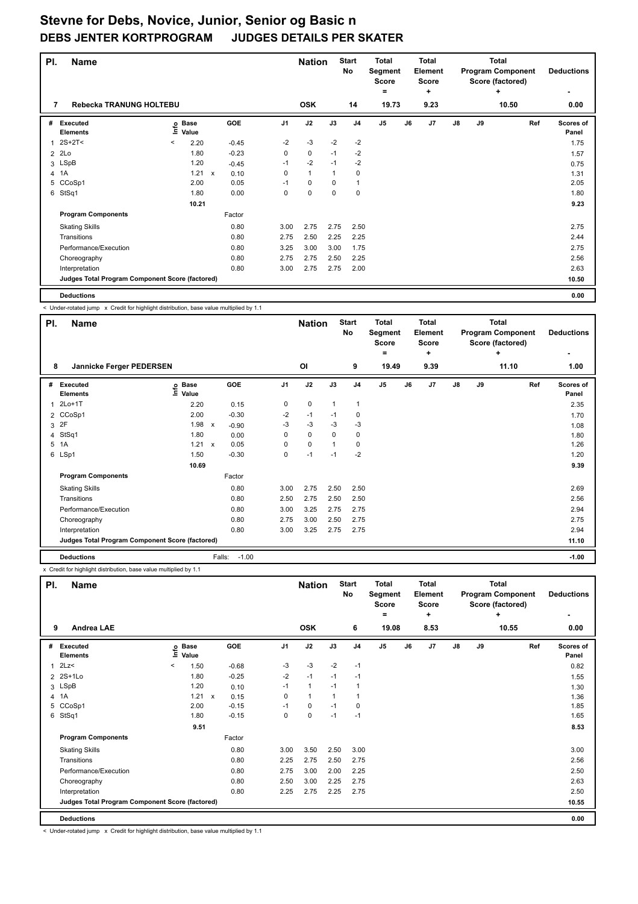| PI.            | <b>Name</b>                                     |         |                      |                           |         |      | <b>Nation</b> |          | <b>Start</b><br><b>No</b> | <b>Total</b><br>Segment<br><b>Score</b><br>$\equiv$ |    | <b>Total</b><br>Element<br><b>Score</b><br>÷ |               |    | <b>Total</b><br><b>Program Component</b><br>Score (factored)<br>٠ | <b>Deductions</b>         |
|----------------|-------------------------------------------------|---------|----------------------|---------------------------|---------|------|---------------|----------|---------------------------|-----------------------------------------------------|----|----------------------------------------------|---------------|----|-------------------------------------------------------------------|---------------------------|
| 7              | Rebecka TRANUNG HOLTEBU                         |         |                      |                           |         |      | <b>OSK</b>    |          | 14                        | 19.73                                               |    | 9.23                                         |               |    | 10.50                                                             | 0.00                      |
| #              | Executed<br><b>Elements</b>                     | Info    | <b>Base</b><br>Value |                           | GOE     | J1   | J2            | J3       | J <sub>4</sub>            | J <sub>5</sub>                                      | J6 | J <sub>7</sub>                               | $\mathsf{J}8$ | J9 | Ref                                                               | <b>Scores of</b><br>Panel |
| 1              | $2S+2T2$                                        | $\prec$ | 2.20                 |                           | $-0.45$ | $-2$ | $-3$          | $-2$     | $-2$                      |                                                     |    |                                              |               |    |                                                                   | 1.75                      |
| $\overline{2}$ | 2Lo                                             |         | 1.80                 |                           | $-0.23$ | 0    | 0             | $-1$     | $-2$                      |                                                     |    |                                              |               |    |                                                                   | 1.57                      |
| 3              | LSpB                                            |         | 1.20                 |                           | $-0.45$ | $-1$ | $-2$          | $-1$     | $-2$                      |                                                     |    |                                              |               |    |                                                                   | 0.75                      |
|                | 4 1A                                            |         | 1.21                 | $\boldsymbol{\mathsf{x}}$ | 0.10    | 0    | $\mathbf{1}$  | 1        | $\mathbf 0$               |                                                     |    |                                              |               |    |                                                                   | 1.31                      |
| 5              | CCoSp1                                          |         | 2.00                 |                           | 0.05    | $-1$ | 0             | $\Omega$ | 1                         |                                                     |    |                                              |               |    |                                                                   | 2.05                      |
| 6              | StSq1                                           |         | 1.80                 |                           | 0.00    | 0    | $\Omega$      | $\Omega$ | $\mathbf 0$               |                                                     |    |                                              |               |    |                                                                   | 1.80                      |
|                |                                                 |         | 10.21                |                           |         |      |               |          |                           |                                                     |    |                                              |               |    |                                                                   | 9.23                      |
|                | <b>Program Components</b>                       |         |                      |                           | Factor  |      |               |          |                           |                                                     |    |                                              |               |    |                                                                   |                           |
|                | <b>Skating Skills</b>                           |         |                      |                           | 0.80    | 3.00 | 2.75          | 2.75     | 2.50                      |                                                     |    |                                              |               |    |                                                                   | 2.75                      |
|                | Transitions                                     |         |                      |                           | 0.80    | 2.75 | 2.50          | 2.25     | 2.25                      |                                                     |    |                                              |               |    |                                                                   | 2.44                      |
|                | Performance/Execution                           |         |                      |                           | 0.80    | 3.25 | 3.00          | 3.00     | 1.75                      |                                                     |    |                                              |               |    |                                                                   | 2.75                      |
|                | Choreography                                    |         |                      |                           | 0.80    | 2.75 | 2.75          | 2.50     | 2.25                      |                                                     |    |                                              |               |    |                                                                   | 2.56                      |
|                | Interpretation                                  |         |                      |                           | 0.80    | 3.00 | 2.75          | 2.75     | 2.00                      |                                                     |    |                                              |               |    |                                                                   | 2.63                      |
|                | Judges Total Program Component Score (factored) |         |                      |                           |         |      |               |          |                           |                                                     |    |                                              |               |    |                                                                   | 10.50                     |
|                | <b>Deductions</b>                               |         |                      |                           |         |      |               |          |                           |                                                     |    |                                              |               |    |                                                                   | 0.00                      |

< Under-rotated jump x Credit for highlight distribution, base value multiplied by 1.1

| PI.          | <b>Name</b>                                     |                            |                           |                   |      | <b>Nation</b> |              | <b>Start</b><br><b>No</b> | <b>Total</b><br>Segment<br><b>Score</b> |    | <b>Total</b><br>Element<br><b>Score</b> |               |    | <b>Total</b><br><b>Program Component</b><br>Score (factored) | <b>Deductions</b>  |
|--------------|-------------------------------------------------|----------------------------|---------------------------|-------------------|------|---------------|--------------|---------------------------|-----------------------------------------|----|-----------------------------------------|---------------|----|--------------------------------------------------------------|--------------------|
|              |                                                 |                            |                           |                   |      |               |              |                           | =                                       |    | ÷                                       |               |    | ÷                                                            |                    |
| 8            | Jannicke Ferger PEDERSEN                        |                            |                           |                   |      | OI            |              | 9                         | 19.49                                   |    | 9.39                                    |               |    | 11.10                                                        | 1.00               |
|              | # Executed<br><b>Elements</b>                   | e Base<br>E Value<br>Value |                           | GOE               | J1   | J2            | J3           | J <sub>4</sub>            | J <sub>5</sub>                          | J6 | J7                                      | $\mathsf{J}8$ | J9 | Ref                                                          | Scores of<br>Panel |
| $\mathbf{1}$ | $2Lo+1T$                                        | 2.20                       |                           | 0.15              | 0    | $\mathbf 0$   | $\mathbf{1}$ | 1                         |                                         |    |                                         |               |    |                                                              | 2.35               |
|              | 2 CCoSp1                                        | 2.00                       |                           | $-0.30$           | $-2$ | $-1$          | $-1$         | 0                         |                                         |    |                                         |               |    |                                                              | 1.70               |
|              | 3 2F                                            | 1.98                       | $\mathsf{x}$              | $-0.90$           | $-3$ | $-3$          | $-3$         | $-3$                      |                                         |    |                                         |               |    |                                                              | 1.08               |
|              | 4 StSq1                                         | 1.80                       |                           | 0.00              | 0    | 0             | 0            | $\pmb{0}$                 |                                         |    |                                         |               |    |                                                              | 1.80               |
|              | 5 1A                                            | 1.21                       | $\boldsymbol{\mathsf{x}}$ | 0.05              | 0    | $\mathbf 0$   | 1            | 0                         |                                         |    |                                         |               |    |                                                              | 1.26               |
|              | 6 LSp1                                          | 1.50                       |                           | $-0.30$           | 0    | $-1$          | $-1$         | $-2$                      |                                         |    |                                         |               |    |                                                              | 1.20               |
|              |                                                 | 10.69                      |                           |                   |      |               |              |                           |                                         |    |                                         |               |    |                                                              | 9.39               |
|              | <b>Program Components</b>                       |                            |                           | Factor            |      |               |              |                           |                                         |    |                                         |               |    |                                                              |                    |
|              | <b>Skating Skills</b>                           |                            |                           | 0.80              | 3.00 | 2.75          | 2.50         | 2.50                      |                                         |    |                                         |               |    |                                                              | 2.69               |
|              | Transitions                                     |                            |                           | 0.80              | 2.50 | 2.75          | 2.50         | 2.50                      |                                         |    |                                         |               |    |                                                              | 2.56               |
|              | Performance/Execution                           |                            |                           | 0.80              | 3.00 | 3.25          | 2.75         | 2.75                      |                                         |    |                                         |               |    |                                                              | 2.94               |
|              | Choreography                                    |                            |                           | 0.80              | 2.75 | 3.00          | 2.50         | 2.75                      |                                         |    |                                         |               |    |                                                              | 2.75               |
|              | Interpretation                                  |                            |                           | 0.80              | 3.00 | 3.25          | 2.75         | 2.75                      |                                         |    |                                         |               |    |                                                              | 2.94               |
|              | Judges Total Program Component Score (factored) |                            |                           |                   |      |               |              |                           |                                         |    |                                         |               |    |                                                              | 11.10              |
|              | <b>Deductions</b>                               |                            |                           | $-1.00$<br>Falls: |      |               |              |                           |                                         |    |                                         |               |    |                                                              | $-1.00$            |

x Credit for highlight distribution, base value multiplied by 1.1

| PI.                  | <b>Name</b>                                     |         |                            |              |            |                | <b>Nation</b> |      | <b>Start</b><br>No | <b>Total</b><br>Segment<br>Score<br>٠ |    | <b>Total</b><br>Element<br><b>Score</b><br>÷ |               |    | <b>Total</b><br><b>Program Component</b><br>Score (factored)<br>÷ | <b>Deductions</b>  |
|----------------------|-------------------------------------------------|---------|----------------------------|--------------|------------|----------------|---------------|------|--------------------|---------------------------------------|----|----------------------------------------------|---------------|----|-------------------------------------------------------------------|--------------------|
| 9                    | <b>Andrea LAE</b>                               |         |                            |              |            |                | <b>OSK</b>    |      | 6                  | 19.08                                 |    | 8.53                                         |               |    | 10.55                                                             | 0.00               |
| #                    | <b>Executed</b><br><b>Elements</b>              |         | e Base<br>E Value<br>Value |              | <b>GOE</b> | J <sub>1</sub> | J2            | J3   | J <sub>4</sub>     | J <sub>5</sub>                        | J6 | J <sub>7</sub>                               | $\mathsf{J}8$ | J9 | Ref                                                               | Scores of<br>Panel |
| $\blacktriangleleft$ | 2Lz                                             | $\,<\,$ | 1.50                       |              | $-0.68$    | -3             | $-3$          | $-2$ | $-1$               |                                       |    |                                              |               |    |                                                                   | 0.82               |
| $\mathcal{P}$        | $2S+1Lo$                                        |         | 1.80                       |              | $-0.25$    | $-2$           | $-1$          | $-1$ | $-1$               |                                       |    |                                              |               |    |                                                                   | 1.55               |
|                      | 3 LSpB                                          |         | 1.20                       |              | 0.10       | $-1$           | $\mathbf{1}$  | $-1$ | $\mathbf{1}$       |                                       |    |                                              |               |    |                                                                   | 1.30               |
|                      | 4 1A                                            |         | 1.21                       | $\mathsf{x}$ | 0.15       | 0              | $\mathbf{1}$  | 1    | $\overline{1}$     |                                       |    |                                              |               |    |                                                                   | 1.36               |
|                      | 5 CCoSp1                                        |         | 2.00                       |              | $-0.15$    | $-1$           | $\mathbf 0$   | $-1$ | 0                  |                                       |    |                                              |               |    |                                                                   | 1.85               |
| 6                    | StSq1                                           |         | 1.80                       |              | $-0.15$    | 0              | 0             | $-1$ | $-1$               |                                       |    |                                              |               |    |                                                                   | 1.65               |
|                      |                                                 |         | 9.51                       |              |            |                |               |      |                    |                                       |    |                                              |               |    |                                                                   | 8.53               |
|                      | <b>Program Components</b>                       |         |                            |              | Factor     |                |               |      |                    |                                       |    |                                              |               |    |                                                                   |                    |
|                      | <b>Skating Skills</b>                           |         |                            |              | 0.80       | 3.00           | 3.50          | 2.50 | 3.00               |                                       |    |                                              |               |    |                                                                   | 3.00               |
|                      | Transitions                                     |         |                            |              | 0.80       | 2.25           | 2.75          | 2.50 | 2.75               |                                       |    |                                              |               |    |                                                                   | 2.56               |
|                      | Performance/Execution                           |         |                            |              | 0.80       | 2.75           | 3.00          | 2.00 | 2.25               |                                       |    |                                              |               |    |                                                                   | 2.50               |
|                      | Choreography                                    |         |                            |              | 0.80       | 2.50           | 3.00          | 2.25 | 2.75               |                                       |    |                                              |               |    |                                                                   | 2.63               |
|                      | Interpretation                                  |         |                            |              | 0.80       | 2.25           | 2.75          | 2.25 | 2.75               |                                       |    |                                              |               |    |                                                                   | 2.50               |
|                      | Judges Total Program Component Score (factored) |         |                            |              |            |                |               |      |                    |                                       |    |                                              |               |    |                                                                   | 10.55              |
|                      | <b>Deductions</b>                               |         |                            |              |            |                |               |      |                    |                                       |    |                                              |               |    |                                                                   | 0.00               |

< Under-rotated jump x Credit for highlight distribution, base value multiplied by 1.1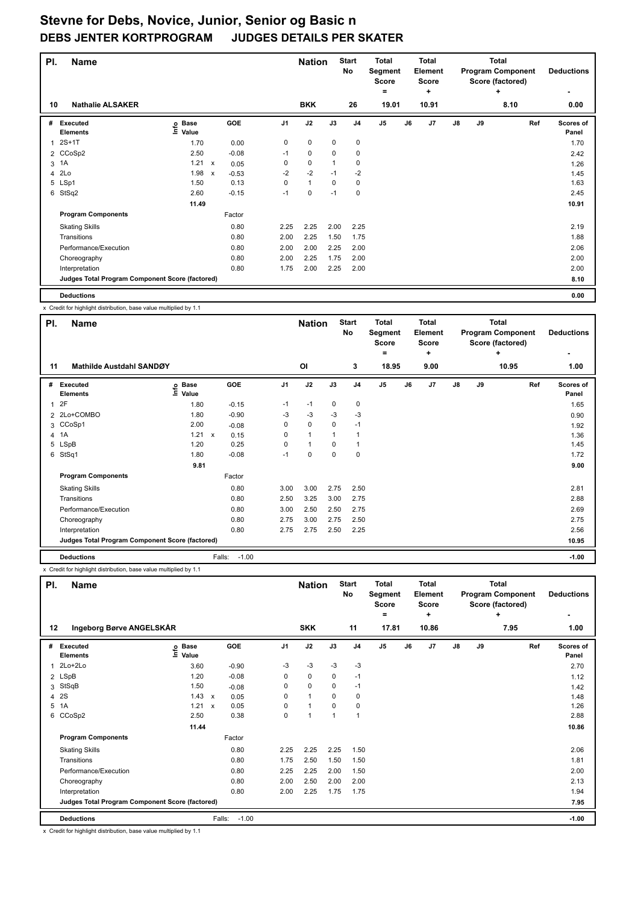| PI. | <b>Name</b>                                     |                              |                           |            |                | <b>Nation</b> |             | <b>Start</b><br>No | <b>Total</b><br>Segment<br><b>Score</b><br>۰ |    | <b>Total</b><br>Element<br>Score<br>÷ |    |    | <b>Total</b><br><b>Program Component</b><br>Score (factored)<br>٠ | <b>Deductions</b>         |
|-----|-------------------------------------------------|------------------------------|---------------------------|------------|----------------|---------------|-------------|--------------------|----------------------------------------------|----|---------------------------------------|----|----|-------------------------------------------------------------------|---------------------------|
| 10  | <b>Nathalie ALSAKER</b>                         |                              |                           |            |                | <b>BKK</b>    |             | 26                 | 19.01                                        |    | 10.91                                 |    |    | 8.10                                                              | 0.00                      |
| #   | Executed<br><b>Elements</b>                     | <b>Base</b><br>١nfo<br>Value |                           | <b>GOE</b> | J <sub>1</sub> | J2            | J3          | J <sub>4</sub>     | J <sub>5</sub>                               | J6 | J <sub>7</sub>                        | J8 | J9 | Ref                                                               | <b>Scores of</b><br>Panel |
| 1   | $2S+1T$                                         | 1.70                         |                           | 0.00       | 0              | 0             | 0           | $\mathbf 0$        |                                              |    |                                       |    |    |                                                                   | 1.70                      |
|     | 2 CCoSp2                                        | 2.50                         |                           | $-0.08$    | $-1$           | $\mathbf 0$   | $\mathbf 0$ | $\mathbf 0$        |                                              |    |                                       |    |    |                                                                   | 2.42                      |
| 3   | 1A                                              | 1.21                         | $\mathsf{x}$              | 0.05       | 0              | $\mathbf 0$   |             | $\mathbf 0$        |                                              |    |                                       |    |    |                                                                   | 1.26                      |
| 4   | 2Lo                                             | 1.98                         | $\boldsymbol{\mathsf{x}}$ | $-0.53$    | $-2$           | $-2$          | $-1$        | $-2$               |                                              |    |                                       |    |    |                                                                   | 1.45                      |
|     | 5 LSp1                                          | 1.50                         |                           | 0.13       | 0              | $\mathbf{1}$  | 0           | 0                  |                                              |    |                                       |    |    |                                                                   | 1.63                      |
| 6   | StSq2                                           | 2.60                         |                           | $-0.15$    | $-1$           | $\mathbf 0$   | $-1$        | $\mathbf 0$        |                                              |    |                                       |    |    |                                                                   | 2.45                      |
|     |                                                 | 11.49                        |                           |            |                |               |             |                    |                                              |    |                                       |    |    |                                                                   | 10.91                     |
|     | <b>Program Components</b>                       |                              |                           | Factor     |                |               |             |                    |                                              |    |                                       |    |    |                                                                   |                           |
|     | <b>Skating Skills</b>                           |                              |                           | 0.80       | 2.25           | 2.25          | 2.00        | 2.25               |                                              |    |                                       |    |    |                                                                   | 2.19                      |
|     | Transitions                                     |                              |                           | 0.80       | 2.00           | 2.25          | 1.50        | 1.75               |                                              |    |                                       |    |    |                                                                   | 1.88                      |
|     | Performance/Execution                           |                              |                           | 0.80       | 2.00           | 2.00          | 2.25        | 2.00               |                                              |    |                                       |    |    |                                                                   | 2.06                      |
|     | Choreography                                    |                              |                           | 0.80       | 2.00           | 2.25          | 1.75        | 2.00               |                                              |    |                                       |    |    |                                                                   | 2.00                      |
|     | Interpretation                                  |                              |                           | 0.80       | 1.75           | 2.00          | 2.25        | 2.00               |                                              |    |                                       |    |    |                                                                   | 2.00                      |
|     | Judges Total Program Component Score (factored) |                              |                           |            |                |               |             |                    |                                              |    |                                       |    |    |                                                                   | 8.10                      |
|     | <b>Deductions</b>                               |                              |                           |            |                |               |             |                    |                                              |    |                                       |    |    |                                                                   | 0.00                      |

x Credit for highlight distribution, base value multiplied by 1.1

| PI. | <b>Name</b>                                     |                            |                           |         |      | <b>Nation</b> |              | <b>Start</b><br><b>No</b> | <b>Total</b><br>Segment<br><b>Score</b> |    | <b>Total</b><br>Element<br><b>Score</b> |               |    | <b>Total</b><br><b>Program Component</b><br>Score (factored) | <b>Deductions</b>  |
|-----|-------------------------------------------------|----------------------------|---------------------------|---------|------|---------------|--------------|---------------------------|-----------------------------------------|----|-----------------------------------------|---------------|----|--------------------------------------------------------------|--------------------|
|     |                                                 |                            |                           |         |      |               |              |                           | =                                       |    | ÷                                       |               |    | ÷                                                            |                    |
| 11  | Mathilde Austdahl SANDØY                        |                            |                           |         |      | OI            |              | 3                         | 18.95                                   |    | 9.00                                    |               |    | 10.95                                                        | 1.00               |
|     | # Executed<br><b>Elements</b>                   | e Base<br>E Value<br>Value |                           | GOE     | J1   | J2            | J3           | J <sub>4</sub>            | J <sub>5</sub>                          | J6 | J7                                      | $\mathsf{J}8$ | J9 | Ref                                                          | Scores of<br>Panel |
|     | 12F                                             | 1.80                       |                           | $-0.15$ | $-1$ | $-1$          | 0            | $\pmb{0}$                 |                                         |    |                                         |               |    |                                                              | 1.65               |
|     | 2 2Lo+COMBO                                     | 1.80                       |                           | $-0.90$ | $-3$ | $-3$          | $-3$         | $-3$                      |                                         |    |                                         |               |    |                                                              | 0.90               |
|     | 3 CCoSp1                                        | 2.00                       |                           | $-0.08$ | 0    | $\mathbf 0$   | $\mathbf 0$  | $-1$                      |                                         |    |                                         |               |    |                                                              | 1.92               |
|     | 4 1A                                            | 1.21                       | $\boldsymbol{\mathsf{x}}$ | 0.15    | 0    | $\mathbf{1}$  | $\mathbf{1}$ | 1                         |                                         |    |                                         |               |    |                                                              | 1.36               |
|     | 5 LSpB                                          | 1.20                       |                           | 0.25    | 0    | $\mathbf{1}$  | $\Omega$     | $\mathbf{1}$              |                                         |    |                                         |               |    |                                                              | 1.45               |
|     | 6 StSq1                                         | 1.80                       |                           | $-0.08$ | $-1$ | 0             | $\mathbf 0$  | 0                         |                                         |    |                                         |               |    |                                                              | 1.72               |
|     |                                                 | 9.81                       |                           |         |      |               |              |                           |                                         |    |                                         |               |    |                                                              | 9.00               |
|     | <b>Program Components</b>                       |                            |                           | Factor  |      |               |              |                           |                                         |    |                                         |               |    |                                                              |                    |
|     | <b>Skating Skills</b>                           |                            |                           | 0.80    | 3.00 | 3.00          | 2.75         | 2.50                      |                                         |    |                                         |               |    |                                                              | 2.81               |
|     | Transitions                                     |                            |                           | 0.80    | 2.50 | 3.25          | 3.00         | 2.75                      |                                         |    |                                         |               |    |                                                              | 2.88               |
|     | Performance/Execution                           |                            |                           | 0.80    | 3.00 | 2.50          | 2.50         | 2.75                      |                                         |    |                                         |               |    |                                                              | 2.69               |
|     | Choreography                                    |                            |                           | 0.80    | 2.75 | 3.00          | 2.75         | 2.50                      |                                         |    |                                         |               |    |                                                              | 2.75               |
|     | Interpretation                                  |                            |                           | 0.80    | 2.75 | 2.75          | 2.50         | 2.25                      |                                         |    |                                         |               |    |                                                              | 2.56               |
|     | Judges Total Program Component Score (factored) |                            |                           |         |      |               |              |                           |                                         |    |                                         |               |    |                                                              | 10.95              |
|     | <b>Deductions</b>                               |                            | Falls:                    | $-1.00$ |      |               |              |                           |                                         |    |                                         |               |    |                                                              | $-1.00$            |

x Credit for highlight distribution, base value multiplied by 1.1

| PI.            | <b>Name</b>                                     |                   |                                   |                | <b>Nation</b> |             | <b>Start</b><br>No | Total<br>Segment<br><b>Score</b><br>= |    | <b>Total</b><br>Element<br><b>Score</b><br>÷ |               |    | <b>Total</b><br><b>Program Component</b><br>Score (factored)<br>÷ | <b>Deductions</b>         |
|----------------|-------------------------------------------------|-------------------|-----------------------------------|----------------|---------------|-------------|--------------------|---------------------------------------|----|----------------------------------------------|---------------|----|-------------------------------------------------------------------|---------------------------|
| 12             | Ingeborg Børve ANGELSKÅR                        |                   |                                   |                | <b>SKK</b>    |             | 11                 | 17.81                                 |    | 10.86                                        |               |    | 7.95                                                              | 1.00                      |
| #              | <b>Executed</b><br><b>Elements</b>              | e Base<br>E Value | <b>GOE</b>                        | J <sub>1</sub> | J2            | J3          | J <sub>4</sub>     | J5                                    | J6 | J7                                           | $\mathsf{J}8$ | J9 | Ref                                                               | <b>Scores of</b><br>Panel |
| $\mathbf{1}$   | 2Lo+2Lo                                         | 3.60              | $-0.90$                           | -3             | $-3$          | -3          | -3                 |                                       |    |                                              |               |    |                                                                   | 2.70                      |
|                | 2 LSpB                                          | 1.20              | $-0.08$                           | $\pmb{0}$      | 0             | 0           | $-1$               |                                       |    |                                              |               |    |                                                                   | 1.12                      |
| 3              | StSqB                                           | 1.50              | $-0.08$                           | 0              | $\mathbf 0$   | $\mathbf 0$ | $-1$               |                                       |    |                                              |               |    |                                                                   | 1.42                      |
| $\overline{4}$ | 2S                                              | 1.43              | $\boldsymbol{\mathsf{x}}$<br>0.05 | 0              | $\mathbf{1}$  | 0           | 0                  |                                       |    |                                              |               |    |                                                                   | 1.48                      |
| 5              | 1A                                              | 1.21              | 0.05<br>$\mathsf{x}$              | 0              | $\mathbf 1$   | 0           | 0                  |                                       |    |                                              |               |    |                                                                   | 1.26                      |
| 6              | CCoSp2                                          | 2.50              | 0.38                              | 0              | 1             | 1           | $\overline{1}$     |                                       |    |                                              |               |    |                                                                   | 2.88                      |
|                |                                                 | 11.44             |                                   |                |               |             |                    |                                       |    |                                              |               |    |                                                                   | 10.86                     |
|                | <b>Program Components</b>                       |                   | Factor                            |                |               |             |                    |                                       |    |                                              |               |    |                                                                   |                           |
|                | <b>Skating Skills</b>                           |                   | 0.80                              | 2.25           | 2.25          | 2.25        | 1.50               |                                       |    |                                              |               |    |                                                                   | 2.06                      |
|                | Transitions                                     |                   | 0.80                              | 1.75           | 2.50          | 1.50        | 1.50               |                                       |    |                                              |               |    |                                                                   | 1.81                      |
|                | Performance/Execution                           |                   | 0.80                              | 2.25           | 2.25          | 2.00        | 1.50               |                                       |    |                                              |               |    |                                                                   | 2.00                      |
|                | Choreography                                    |                   | 0.80                              | 2.00           | 2.50          | 2.00        | 2.00               |                                       |    |                                              |               |    |                                                                   | 2.13                      |
|                | Interpretation                                  |                   | 0.80                              | 2.00           | 2.25          | 1.75        | 1.75               |                                       |    |                                              |               |    |                                                                   | 1.94                      |
|                | Judges Total Program Component Score (factored) |                   |                                   |                |               |             |                    |                                       |    |                                              |               |    |                                                                   | 7.95                      |
|                | <b>Deductions</b>                               |                   | $-1.00$<br>Falls:                 |                |               |             |                    |                                       |    |                                              |               |    |                                                                   | $-1.00$                   |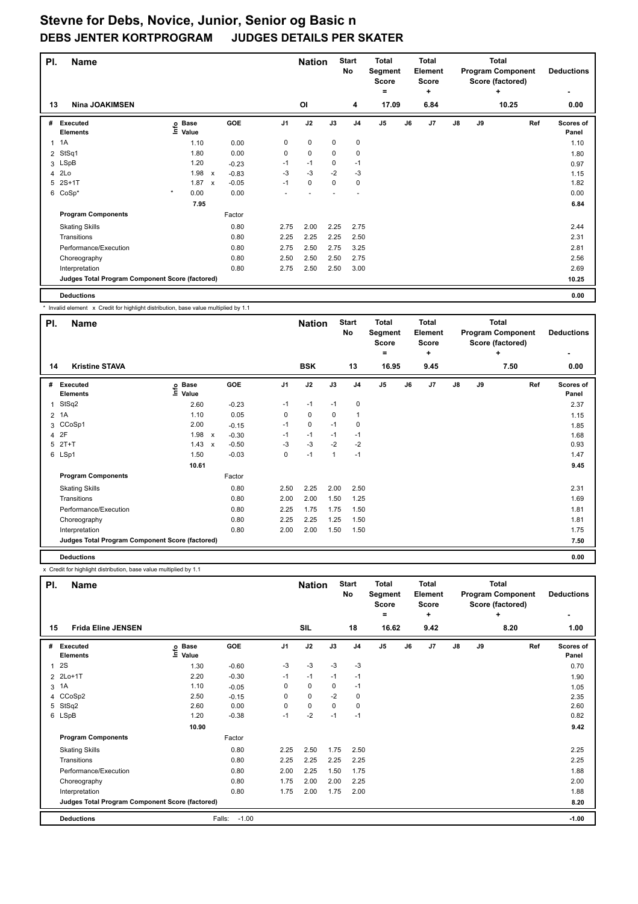| PI.          | <b>Name</b>                                     |                              |              |         |                | <b>Nation</b> |             | <b>Start</b><br><b>No</b> | <b>Total</b><br>Segment<br><b>Score</b><br>۰ |    | <b>Total</b><br>Element<br><b>Score</b><br>÷ |               |    | <b>Total</b><br><b>Program Component</b><br>Score (factored)<br>٠ | <b>Deductions</b>         |
|--------------|-------------------------------------------------|------------------------------|--------------|---------|----------------|---------------|-------------|---------------------------|----------------------------------------------|----|----------------------------------------------|---------------|----|-------------------------------------------------------------------|---------------------------|
| 13           | <b>Nina JOAKIMSEN</b>                           |                              |              |         |                | <b>OI</b>     |             | 4                         | 17.09                                        |    | 6.84                                         |               |    | 10.25                                                             | 0.00                      |
| #            | Executed<br><b>Elements</b>                     | <b>Base</b><br>١nfo<br>Value |              | GOE     | J <sub>1</sub> | J2            | J3          | J <sub>4</sub>            | J5                                           | J6 | J7                                           | $\mathsf{J}8$ | J9 | Ref                                                               | <b>Scores of</b><br>Panel |
| $\mathbf{1}$ | 1A                                              | 1.10                         |              | 0.00    | 0              | $\mathbf 0$   | 0           | 0                         |                                              |    |                                              |               |    |                                                                   | 1.10                      |
| 2            | StSq1                                           | 1.80                         |              | 0.00    | $\mathbf 0$    | $\mathbf 0$   | $\mathbf 0$ | $\mathbf 0$               |                                              |    |                                              |               |    |                                                                   | 1.80                      |
|              | 3 LSpB                                          | 1.20                         |              | $-0.23$ | $-1$           | $-1$          | 0           | $-1$                      |                                              |    |                                              |               |    |                                                                   | 0.97                      |
| 4            | 2Lo                                             | 1.98                         | $\mathsf{x}$ | $-0.83$ | $-3$           | $-3$          | $-2$        | $-3$                      |                                              |    |                                              |               |    |                                                                   | 1.15                      |
| 5            | $2S+1T$                                         | 1.87                         | $\mathsf{x}$ | $-0.05$ | $-1$           | $\mathbf 0$   | 0           | $\mathbf 0$               |                                              |    |                                              |               |    |                                                                   | 1.82                      |
|              | 6 CoSp*                                         | $\star$<br>0.00              |              | 0.00    |                |               |             |                           |                                              |    |                                              |               |    |                                                                   | 0.00                      |
|              |                                                 | 7.95                         |              |         |                |               |             |                           |                                              |    |                                              |               |    |                                                                   | 6.84                      |
|              | <b>Program Components</b>                       |                              |              | Factor  |                |               |             |                           |                                              |    |                                              |               |    |                                                                   |                           |
|              | <b>Skating Skills</b>                           |                              |              | 0.80    | 2.75           | 2.00          | 2.25        | 2.75                      |                                              |    |                                              |               |    |                                                                   | 2.44                      |
|              | Transitions                                     |                              |              | 0.80    | 2.25           | 2.25          | 2.25        | 2.50                      |                                              |    |                                              |               |    |                                                                   | 2.31                      |
|              | Performance/Execution                           |                              |              | 0.80    | 2.75           | 2.50          | 2.75        | 3.25                      |                                              |    |                                              |               |    |                                                                   | 2.81                      |
|              | Choreography                                    |                              |              | 0.80    | 2.50           | 2.50          | 2.50        | 2.75                      |                                              |    |                                              |               |    |                                                                   | 2.56                      |
|              | Interpretation                                  |                              |              | 0.80    | 2.75           | 2.50          | 2.50        | 3.00                      |                                              |    |                                              |               |    |                                                                   | 2.69                      |
|              | Judges Total Program Component Score (factored) |                              |              |         |                |               |             |                           |                                              |    |                                              |               |    |                                                                   | 10.25                     |
|              | <b>Deductions</b>                               |                              |              |         |                |               |             |                           |                                              |    |                                              |               |    |                                                                   | 0.00                      |

\* Invalid element x Credit for highlight distribution, base value multiplied by 1.1

| PI. | <b>Name</b>                                     |                       |                           |         |                | <b>Nation</b> |      | <b>Start</b><br>No | <b>Total</b><br>Segment<br><b>Score</b> |    | <b>Total</b><br>Element<br><b>Score</b> |               |    | <b>Total</b><br><b>Program Component</b><br>Score (factored) | <b>Deductions</b>  |
|-----|-------------------------------------------------|-----------------------|---------------------------|---------|----------------|---------------|------|--------------------|-----------------------------------------|----|-----------------------------------------|---------------|----|--------------------------------------------------------------|--------------------|
|     |                                                 |                       |                           |         |                |               |      |                    | =                                       |    | ÷                                       |               |    | ÷                                                            |                    |
| 14  | <b>Kristine STAVA</b>                           |                       |                           |         |                | <b>BSK</b>    |      | 13                 | 16.95                                   |    | 9.45                                    |               |    | 7.50                                                         | 0.00               |
|     | # Executed<br><b>Elements</b>                   | $E$ Base<br>$E$ Value |                           | GOE     | J <sub>1</sub> | J2            | J3   | J <sub>4</sub>     | J5                                      | J6 | J7                                      | $\mathsf{J}8$ | J9 | Ref                                                          | Scores of<br>Panel |
| 1   | StSq2                                           | 2.60                  |                           | $-0.23$ | $-1$           | $-1$          | $-1$ | 0                  |                                         |    |                                         |               |    |                                                              | 2.37               |
|     | 2 1A                                            | 1.10                  |                           | 0.05    | 0              | $\mathbf 0$   | 0    | 1                  |                                         |    |                                         |               |    |                                                              | 1.15               |
|     | 3 CCoSp1                                        | 2.00                  |                           | $-0.15$ | $-1$           | $\mathbf 0$   | $-1$ | 0                  |                                         |    |                                         |               |    |                                                              | 1.85               |
|     | 4 2F                                            | 1.98                  | $\mathsf{x}$              | $-0.30$ | $-1$           | $-1$          | $-1$ | $-1$               |                                         |    |                                         |               |    |                                                              | 1.68               |
|     | 5 2T+T                                          | 1.43                  | $\boldsymbol{\mathsf{x}}$ | $-0.50$ | -3             | $-3$          | $-2$ | $-2$               |                                         |    |                                         |               |    |                                                              | 0.93               |
|     | 6 LSp1                                          | 1.50                  |                           | $-0.03$ | $\mathbf 0$    | $-1$          | 1    | $-1$               |                                         |    |                                         |               |    |                                                              | 1.47               |
|     |                                                 | 10.61                 |                           |         |                |               |      |                    |                                         |    |                                         |               |    |                                                              | 9.45               |
|     | <b>Program Components</b>                       |                       |                           | Factor  |                |               |      |                    |                                         |    |                                         |               |    |                                                              |                    |
|     | <b>Skating Skills</b>                           |                       |                           | 0.80    | 2.50           | 2.25          | 2.00 | 2.50               |                                         |    |                                         |               |    |                                                              | 2.31               |
|     | Transitions                                     |                       |                           | 0.80    | 2.00           | 2.00          | 1.50 | 1.25               |                                         |    |                                         |               |    |                                                              | 1.69               |
|     | Performance/Execution                           |                       |                           | 0.80    | 2.25           | 1.75          | 1.75 | 1.50               |                                         |    |                                         |               |    |                                                              | 1.81               |
|     | Choreography                                    |                       |                           | 0.80    | 2.25           | 2.25          | 1.25 | 1.50               |                                         |    |                                         |               |    |                                                              | 1.81               |
|     | Interpretation                                  |                       |                           | 0.80    | 2.00           | 2.00          | 1.50 | 1.50               |                                         |    |                                         |               |    |                                                              | 1.75               |
|     | Judges Total Program Component Score (factored) |                       |                           |         |                |               |      |                    |                                         |    |                                         |               |    |                                                              | 7.50               |
|     | <b>Deductions</b>                               |                       |                           |         |                |               |      |                    |                                         |    |                                         |               |    |                                                              | 0.00               |

| PI.            | <b>Name</b>                                     |                            |                   |                | <b>Nation</b> |      | <b>Start</b><br><b>No</b> | Total<br>Segment<br><b>Score</b><br>۰ |    | Total<br><b>Element</b><br><b>Score</b><br>$\ddot{}$ |               |    | Total<br><b>Program Component</b><br>Score (factored)<br>÷ | <b>Deductions</b>         |
|----------------|-------------------------------------------------|----------------------------|-------------------|----------------|---------------|------|---------------------------|---------------------------------------|----|------------------------------------------------------|---------------|----|------------------------------------------------------------|---------------------------|
| 15             | <b>Frida Eline JENSEN</b>                       |                            |                   |                | SIL           |      | 18                        | 16.62                                 |    | 9.42                                                 |               |    | 8.20                                                       | 1.00                      |
| #              | Executed<br><b>Elements</b>                     | e Base<br>E Value<br>Value | GOE               | J <sub>1</sub> | J2            | J3   | J <sub>4</sub>            | J <sub>5</sub>                        | J6 | J <sub>7</sub>                                       | $\mathsf{J}8$ | J9 | Ref                                                        | <b>Scores of</b><br>Panel |
|                | 12S                                             | 1.30                       | $-0.60$           | $-3$           | $-3$          | $-3$ | $-3$                      |                                       |    |                                                      |               |    |                                                            | 0.70                      |
| $\overline{2}$ | $2Lo+1T$                                        | 2.20                       | $-0.30$           | $-1$           | $-1$          | $-1$ | $-1$                      |                                       |    |                                                      |               |    |                                                            | 1.90                      |
|                | 3 1A                                            | 1.10                       | $-0.05$           | 0              | $\Omega$      | 0    | $-1$                      |                                       |    |                                                      |               |    |                                                            | 1.05                      |
|                | 4 CCoSp2                                        | 2.50                       | $-0.15$           | 0              | $\mathbf 0$   | $-2$ | 0                         |                                       |    |                                                      |               |    |                                                            | 2.35                      |
|                | 5 StSq2                                         | 2.60                       | 0.00              | 0              | $\mathbf 0$   | 0    | 0                         |                                       |    |                                                      |               |    |                                                            | 2.60                      |
|                | 6 LSpB                                          | 1.20                       | $-0.38$           | $-1$           | $-2$          | $-1$ | $-1$                      |                                       |    |                                                      |               |    |                                                            | 0.82                      |
|                |                                                 | 10.90                      |                   |                |               |      |                           |                                       |    |                                                      |               |    |                                                            | 9.42                      |
|                | <b>Program Components</b>                       |                            | Factor            |                |               |      |                           |                                       |    |                                                      |               |    |                                                            |                           |
|                | <b>Skating Skills</b>                           |                            | 0.80              | 2.25           | 2.50          | 1.75 | 2.50                      |                                       |    |                                                      |               |    |                                                            | 2.25                      |
|                | Transitions                                     |                            | 0.80              | 2.25           | 2.25          | 2.25 | 2.25                      |                                       |    |                                                      |               |    |                                                            | 2.25                      |
|                | Performance/Execution                           |                            | 0.80              | 2.00           | 2.25          | 1.50 | 1.75                      |                                       |    |                                                      |               |    |                                                            | 1.88                      |
|                | Choreography                                    |                            | 0.80              | 1.75           | 2.00          | 2.00 | 2.25                      |                                       |    |                                                      |               |    |                                                            | 2.00                      |
|                | Interpretation                                  |                            | 0.80              | 1.75           | 2.00          | 1.75 | 2.00                      |                                       |    |                                                      |               |    |                                                            | 1.88                      |
|                | Judges Total Program Component Score (factored) |                            |                   |                |               |      |                           |                                       |    |                                                      |               |    |                                                            | 8.20                      |
|                | <b>Deductions</b>                               |                            | $-1.00$<br>Falls: |                |               |      |                           |                                       |    |                                                      |               |    |                                                            | $-1.00$                   |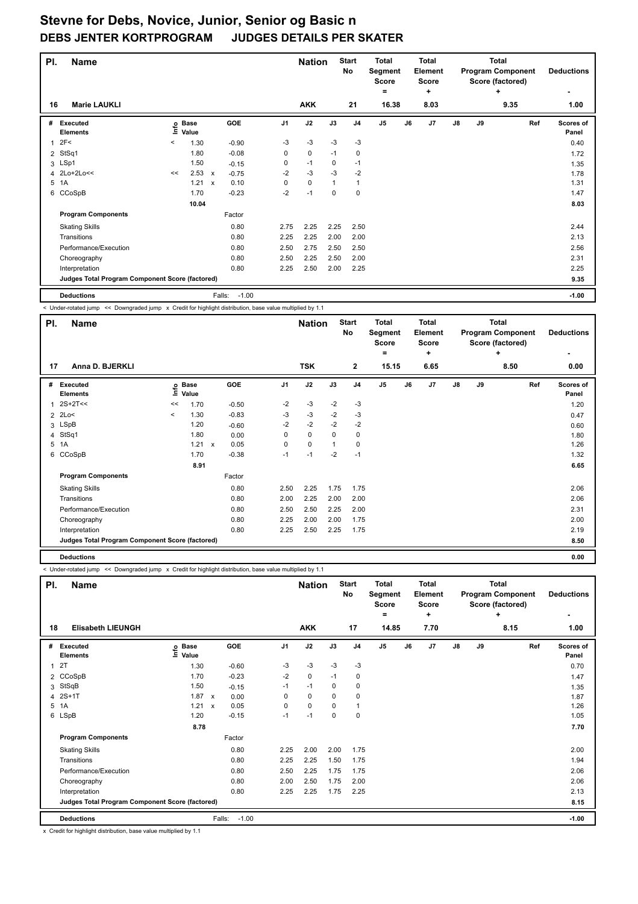| PI.            | <b>Name</b>                                     |         |                      |                           |                   |                | <b>Nation</b> |      | <b>Start</b><br>No | <b>Total</b><br>Segment<br><b>Score</b><br>۰ |    | <b>Total</b><br>Element<br><b>Score</b><br>٠ |               |    | <b>Total</b><br><b>Program Component</b><br>Score (factored)<br>÷ | <b>Deductions</b>  |
|----------------|-------------------------------------------------|---------|----------------------|---------------------------|-------------------|----------------|---------------|------|--------------------|----------------------------------------------|----|----------------------------------------------|---------------|----|-------------------------------------------------------------------|--------------------|
| 16             | <b>Marie LAUKLI</b>                             |         |                      |                           |                   |                | <b>AKK</b>    |      | 21                 | 16.38                                        |    | 8.03                                         |               |    | 9.35                                                              | 1.00               |
| #              | Executed<br><b>Elements</b>                     | ١nfo    | <b>Base</b><br>Value |                           | GOE               | J <sub>1</sub> | J2            | J3   | J <sub>4</sub>     | J <sub>5</sub>                               | J6 | J7                                           | $\mathsf{J}8$ | J9 | Ref                                                               | Scores of<br>Panel |
| 1              | 2F<                                             | $\,<\,$ | 1.30                 |                           | $-0.90$           | $-3$           | $-3$          | $-3$ | $-3$               |                                              |    |                                              |               |    |                                                                   | 0.40               |
| $\overline{2}$ | StSq1                                           |         | 1.80                 |                           | $-0.08$           | 0              | 0             | $-1$ | 0                  |                                              |    |                                              |               |    |                                                                   | 1.72               |
|                | 3 LSp1                                          |         | 1.50                 |                           | $-0.15$           | 0              | $-1$          | 0    | $-1$               |                                              |    |                                              |               |    |                                                                   | 1.35               |
|                | 4 2Lo+2Lo<<                                     | <<      | 2.53                 | $\boldsymbol{\mathsf{x}}$ | $-0.75$           | $-2$           | $-3$          | $-3$ | $-2$               |                                              |    |                                              |               |    |                                                                   | 1.78               |
| 5              | 1A                                              |         | 1.21                 | $\boldsymbol{\mathsf{x}}$ | 0.10              | 0              | $\mathbf 0$   | 1    | $\overline{1}$     |                                              |    |                                              |               |    |                                                                   | 1.31               |
|                | 6 CCoSpB                                        |         | 1.70                 |                           | $-0.23$           | $-2$           | $-1$          | 0    | 0                  |                                              |    |                                              |               |    |                                                                   | 1.47               |
|                |                                                 |         | 10.04                |                           |                   |                |               |      |                    |                                              |    |                                              |               |    |                                                                   | 8.03               |
|                | <b>Program Components</b>                       |         |                      |                           | Factor            |                |               |      |                    |                                              |    |                                              |               |    |                                                                   |                    |
|                | <b>Skating Skills</b>                           |         |                      |                           | 0.80              | 2.75           | 2.25          | 2.25 | 2.50               |                                              |    |                                              |               |    |                                                                   | 2.44               |
|                | Transitions                                     |         |                      |                           | 0.80              | 2.25           | 2.25          | 2.00 | 2.00               |                                              |    |                                              |               |    |                                                                   | 2.13               |
|                | Performance/Execution                           |         |                      |                           | 0.80              | 2.50           | 2.75          | 2.50 | 2.50               |                                              |    |                                              |               |    |                                                                   | 2.56               |
|                | Choreography                                    |         |                      |                           | 0.80              | 2.50           | 2.25          | 2.50 | 2.00               |                                              |    |                                              |               |    |                                                                   | 2.31               |
|                | Interpretation                                  |         |                      |                           | 0.80              | 2.25           | 2.50          | 2.00 | 2.25               |                                              |    |                                              |               |    |                                                                   | 2.25               |
|                | Judges Total Program Component Score (factored) |         |                      |                           |                   |                |               |      |                    |                                              |    |                                              |               |    |                                                                   | 9.35               |
|                | <b>Deductions</b>                               |         |                      |                           | $-1.00$<br>Falls: |                |               |      |                    |                                              |    |                                              |               |    |                                                                   | $-1.00$            |

< Under-rotated jump << Downgraded jump x Credit for highlight distribution, base value multiplied by 1.1

| PI.          | <b>Name</b>                                     |         |                            |                                   |                | <b>Nation</b> |              | <b>Start</b><br>No | <b>Total</b><br>Segment<br><b>Score</b> |    | <b>Total</b><br>Element<br>Score |               |    | <b>Total</b><br><b>Program Component</b><br>Score (factored) | <b>Deductions</b>         |
|--------------|-------------------------------------------------|---------|----------------------------|-----------------------------------|----------------|---------------|--------------|--------------------|-----------------------------------------|----|----------------------------------|---------------|----|--------------------------------------------------------------|---------------------------|
|              |                                                 |         |                            |                                   |                |               |              |                    | =                                       |    | ÷                                |               |    | ÷                                                            | $\overline{\phantom{a}}$  |
| 17           | Anna D. BJERKLI                                 |         |                            |                                   |                | <b>TSK</b>    |              | $\overline{2}$     | 15.15                                   |    | 6.65                             |               |    | 8.50                                                         | 0.00                      |
| #            | Executed<br><b>Elements</b>                     |         | e Base<br>E Value<br>Value | GOE                               | J <sub>1</sub> | J2            | J3           | J <sub>4</sub>     | J <sub>5</sub>                          | J6 | J7                               | $\mathsf{J}8$ | J9 | Ref                                                          | <b>Scores of</b><br>Panel |
| $\mathbf{1}$ | 2S+2T<<                                         | <<      | 1.70                       | $-0.50$                           | $-2$           | -3            | $-2$         | -3                 |                                         |    |                                  |               |    |                                                              | 1.20                      |
|              | 2 2Lo<                                          | $\prec$ | 1.30                       | $-0.83$                           | $-3$           | $-3$          | $-2$         | -3                 |                                         |    |                                  |               |    |                                                              | 0.47                      |
|              | 3 LSpB                                          |         | 1.20                       | $-0.60$                           | $-2$           | $-2$          | $-2$         | $-2$               |                                         |    |                                  |               |    |                                                              | 0.60                      |
|              | 4 StSq1                                         |         | 1.80                       | 0.00                              | 0              | $\mathbf 0$   | 0            | 0                  |                                         |    |                                  |               |    |                                                              | 1.80                      |
|              | 5 1A                                            |         | 1.21                       | 0.05<br>$\boldsymbol{\mathsf{x}}$ | $\mathbf 0$    | $\mathbf 0$   | $\mathbf{1}$ | 0                  |                                         |    |                                  |               |    |                                                              | 1.26                      |
|              | 6 CCoSpB                                        |         | 1.70                       | $-0.38$                           | $-1$           | $-1$          | $-2$         | $-1$               |                                         |    |                                  |               |    |                                                              | 1.32                      |
|              |                                                 |         | 8.91                       |                                   |                |               |              |                    |                                         |    |                                  |               |    |                                                              | 6.65                      |
|              | <b>Program Components</b>                       |         |                            | Factor                            |                |               |              |                    |                                         |    |                                  |               |    |                                                              |                           |
|              | <b>Skating Skills</b>                           |         |                            | 0.80                              | 2.50           | 2.25          | 1.75         | 1.75               |                                         |    |                                  |               |    |                                                              | 2.06                      |
|              | Transitions                                     |         |                            | 0.80                              | 2.00           | 2.25          | 2.00         | 2.00               |                                         |    |                                  |               |    |                                                              | 2.06                      |
|              | Performance/Execution                           |         |                            | 0.80                              | 2.50           | 2.50          | 2.25         | 2.00               |                                         |    |                                  |               |    |                                                              | 2.31                      |
|              | Choreography                                    |         |                            | 0.80                              | 2.25           | 2.00          | 2.00         | 1.75               |                                         |    |                                  |               |    |                                                              | 2.00                      |
|              | Interpretation                                  |         |                            | 0.80                              | 2.25           | 2.50          | 2.25         | 1.75               |                                         |    |                                  |               |    |                                                              | 2.19                      |
|              | Judges Total Program Component Score (factored) |         |                            |                                   |                |               |              |                    |                                         |    |                                  |               |    |                                                              | 8.50                      |
|              | <b>Deductions</b>                               |         |                            |                                   |                |               |              |                    |                                         |    |                                  |               |    |                                                              | 0.00                      |

< Under-rotated jump << Downgraded jump x Credit for highlight distribution, base value multiplied by 1.1

| PI.            | Name                                            |                            |                      |      | <b>Nation</b> |      | <b>Start</b><br>No | <b>Total</b><br>Segment<br><b>Score</b><br>۰ |    | <b>Total</b><br>Element<br><b>Score</b><br>٠ |               |    | <b>Total</b><br><b>Program Component</b><br>Score (factored)<br>٠ | <b>Deductions</b>  |
|----------------|-------------------------------------------------|----------------------------|----------------------|------|---------------|------|--------------------|----------------------------------------------|----|----------------------------------------------|---------------|----|-------------------------------------------------------------------|--------------------|
| 18             | <b>Elisabeth LIEUNGH</b>                        |                            |                      |      | <b>AKK</b>    |      | 17                 | 14.85                                        |    | 7.70                                         |               |    | 8.15                                                              | 1.00               |
| #              | Executed<br><b>Elements</b>                     | e Base<br>E Value<br>Value | GOE                  | J1   | J2            | J3   | J <sub>4</sub>     | J5                                           | J6 | J7                                           | $\mathsf{J}8$ | J9 | Ref                                                               | Scores of<br>Panel |
| $\mathbf{1}$   | 2T                                              | 1.30                       | $-0.60$              | -3   | -3            | $-3$ | $-3$               |                                              |    |                                              |               |    |                                                                   | 0.70               |
| $\overline{2}$ | CCoSpB                                          | 1.70                       | $-0.23$              | $-2$ | $\mathbf 0$   | $-1$ | $\mathbf 0$        |                                              |    |                                              |               |    |                                                                   | 1.47               |
| 3              | StSqB                                           | 1.50                       | $-0.15$              | $-1$ | $-1$          | 0    | $\mathbf 0$        |                                              |    |                                              |               |    |                                                                   | 1.35               |
|                | 4 2S+1T                                         | 1.87                       | $\mathsf{x}$<br>0.00 | 0    | $\mathbf 0$   | 0    | 0                  |                                              |    |                                              |               |    |                                                                   | 1.87               |
|                | 5 1A                                            | 1.21                       | 0.05<br>$\mathsf{x}$ | 0    | $\mathbf 0$   | 0    | $\overline{1}$     |                                              |    |                                              |               |    |                                                                   | 1.26               |
|                | 6 LSpB                                          | 1.20                       | $-0.15$              | $-1$ | $-1$          | 0    | 0                  |                                              |    |                                              |               |    |                                                                   | 1.05               |
|                |                                                 | 8.78                       |                      |      |               |      |                    |                                              |    |                                              |               |    |                                                                   | 7.70               |
|                | <b>Program Components</b>                       |                            | Factor               |      |               |      |                    |                                              |    |                                              |               |    |                                                                   |                    |
|                | <b>Skating Skills</b>                           |                            | 0.80                 | 2.25 | 2.00          | 2.00 | 1.75               |                                              |    |                                              |               |    |                                                                   | 2.00               |
|                | Transitions                                     |                            | 0.80                 | 2.25 | 2.25          | 1.50 | 1.75               |                                              |    |                                              |               |    |                                                                   | 1.94               |
|                | Performance/Execution                           |                            | 0.80                 | 2.50 | 2.25          | 1.75 | 1.75               |                                              |    |                                              |               |    |                                                                   | 2.06               |
|                | Choreography                                    |                            | 0.80                 | 2.00 | 2.50          | 1.75 | 2.00               |                                              |    |                                              |               |    |                                                                   | 2.06               |
|                | Interpretation                                  |                            | 0.80                 | 2.25 | 2.25          | 1.75 | 2.25               |                                              |    |                                              |               |    |                                                                   | 2.13               |
|                | Judges Total Program Component Score (factored) |                            |                      |      |               |      |                    |                                              |    |                                              |               |    |                                                                   | 8.15               |
|                | <b>Deductions</b>                               |                            | $-1.00$<br>Falls:    |      |               |      |                    |                                              |    |                                              |               |    |                                                                   | $-1.00$            |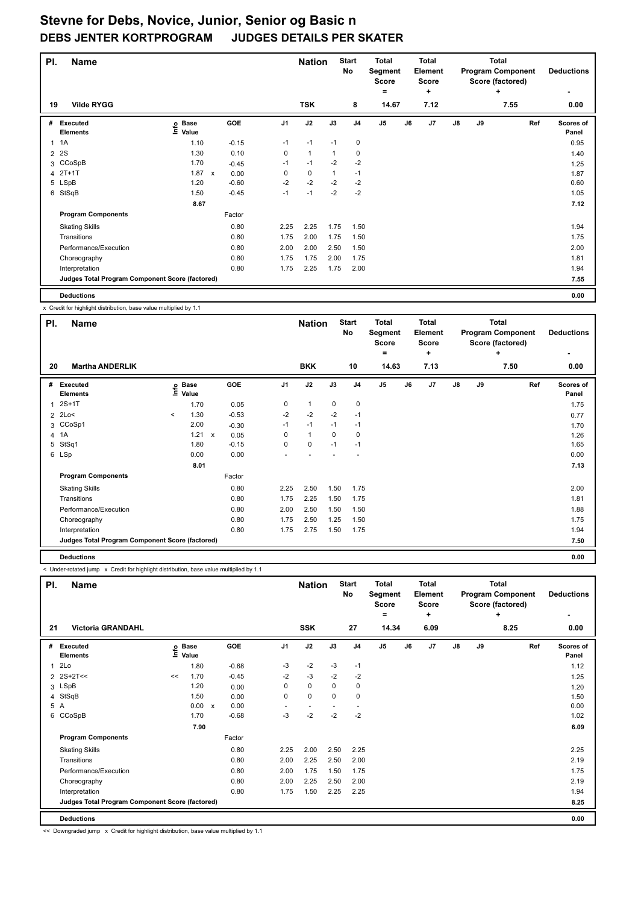| PI.            | <b>Name</b>                                     |                              |                           |         |                | <b>Nation</b> |              | <b>Start</b><br>No | <b>Total</b><br>Segment<br><b>Score</b><br>= |    | Total<br>Element<br><b>Score</b><br>٠ |    |    | <b>Total</b><br><b>Program Component</b><br>Score (factored)<br>٠ | <b>Deductions</b>         |
|----------------|-------------------------------------------------|------------------------------|---------------------------|---------|----------------|---------------|--------------|--------------------|----------------------------------------------|----|---------------------------------------|----|----|-------------------------------------------------------------------|---------------------------|
| 19             | <b>Vilde RYGG</b>                               |                              |                           |         |                | <b>TSK</b>    |              | 8                  | 14.67                                        |    | 7.12                                  |    |    | 7.55                                                              | 0.00                      |
| #              | Executed<br><b>Elements</b>                     | <b>Base</b><br>١nfo<br>Value |                           | GOE     | J <sub>1</sub> | J2            | J3           | J <sub>4</sub>     | J <sub>5</sub>                               | J6 | J <sub>7</sub>                        | J8 | J9 | Ref                                                               | <b>Scores of</b><br>Panel |
| $\mathbf{1}$   | 1A                                              | 1.10                         |                           | $-0.15$ | $-1$           | $-1$          | $-1$         | $\mathbf 0$        |                                              |    |                                       |    |    |                                                                   | 0.95                      |
| $\overline{2}$ | 2S                                              | 1.30                         |                           | 0.10    | 0              | $\mathbf{1}$  |              | 0                  |                                              |    |                                       |    |    |                                                                   | 1.40                      |
|                | 3 CCoSpB                                        | 1.70                         |                           | $-0.45$ | $-1$           | $-1$          | $-2$         | $-2$               |                                              |    |                                       |    |    |                                                                   | 1.25                      |
|                | 4 2T+1T                                         | 1.87                         | $\boldsymbol{\mathsf{x}}$ | 0.00    | 0              | $\mathbf 0$   | $\mathbf{1}$ | $-1$               |                                              |    |                                       |    |    |                                                                   | 1.87                      |
|                | 5 LSpB                                          | 1.20                         |                           | $-0.60$ | $-2$           | $-2$          | $-2$         | $-2$               |                                              |    |                                       |    |    |                                                                   | 0.60                      |
| 6              | StSqB                                           | 1.50                         |                           | $-0.45$ | $-1$           | $-1$          | $-2$         | $-2$               |                                              |    |                                       |    |    |                                                                   | 1.05                      |
|                |                                                 | 8.67                         |                           |         |                |               |              |                    |                                              |    |                                       |    |    |                                                                   | 7.12                      |
|                | <b>Program Components</b>                       |                              |                           | Factor  |                |               |              |                    |                                              |    |                                       |    |    |                                                                   |                           |
|                | <b>Skating Skills</b>                           |                              |                           | 0.80    | 2.25           | 2.25          | 1.75         | 1.50               |                                              |    |                                       |    |    |                                                                   | 1.94                      |
|                | Transitions                                     |                              |                           | 0.80    | 1.75           | 2.00          | 1.75         | 1.50               |                                              |    |                                       |    |    |                                                                   | 1.75                      |
|                | Performance/Execution                           |                              |                           | 0.80    | 2.00           | 2.00          | 2.50         | 1.50               |                                              |    |                                       |    |    |                                                                   | 2.00                      |
|                | Choreography                                    |                              |                           | 0.80    | 1.75           | 1.75          | 2.00         | 1.75               |                                              |    |                                       |    |    |                                                                   | 1.81                      |
|                | Interpretation                                  |                              |                           | 0.80    | 1.75           | 2.25          | 1.75         | 2.00               |                                              |    |                                       |    |    |                                                                   | 1.94                      |
|                | Judges Total Program Component Score (factored) |                              |                           |         |                |               |              |                    |                                              |    |                                       |    |    |                                                                   | 7.55                      |
|                | <b>Deductions</b>                               |                              |                           |         |                |               |              |                    |                                              |    |                                       |    |    |                                                                   | 0.00                      |

x Credit for highlight distribution, base value multiplied by 1.1

| PI.          | <b>Name</b>                                     |         |                            |                      |                | <b>Nation</b> |      | <b>Start</b><br>No | <b>Total</b><br>Segment<br>Score |    | <b>Total</b><br>Element<br><b>Score</b> |               |    | <b>Total</b><br><b>Program Component</b><br>Score (factored) | <b>Deductions</b>  |
|--------------|-------------------------------------------------|---------|----------------------------|----------------------|----------------|---------------|------|--------------------|----------------------------------|----|-----------------------------------------|---------------|----|--------------------------------------------------------------|--------------------|
|              |                                                 |         |                            |                      |                |               |      |                    | =                                |    | ÷                                       |               |    | ÷                                                            |                    |
| 20           | <b>Martha ANDERLIK</b>                          |         |                            |                      |                | <b>BKK</b>    |      | 10                 | 14.63                            |    | 7.13                                    |               |    | 7.50                                                         | 0.00               |
| #            | Executed<br><b>Elements</b>                     |         | e Base<br>E Value<br>Value | GOE                  | J <sub>1</sub> | J2            | J3   | J <sub>4</sub>     | J5                               | J6 | J7                                      | $\mathsf{J}8$ | J9 | Ref                                                          | Scores of<br>Panel |
| $\mathbf{1}$ | $2S+1T$                                         |         | 1.70                       | 0.05                 | 0              | $\mathbf{1}$  | 0    | $\mathbf 0$        |                                  |    |                                         |               |    |                                                              | 1.75               |
|              | 2 2Lo<                                          | $\prec$ | 1.30                       | $-0.53$              | $-2$           | $-2$          | $-2$ | $-1$               |                                  |    |                                         |               |    |                                                              | 0.77               |
|              | 3 CCoSp1                                        |         | 2.00                       | $-0.30$              | $-1$           | $-1$          | $-1$ | $-1$               |                                  |    |                                         |               |    |                                                              | 1.70               |
|              | 4 1A                                            |         | 1.21                       | $\mathsf{x}$<br>0.05 | 0              | $\mathbf{1}$  | 0    | 0                  |                                  |    |                                         |               |    |                                                              | 1.26               |
|              | 5 StSq1                                         |         | 1.80                       | $-0.15$              | $\mathbf 0$    | $\mathbf 0$   | $-1$ | $-1$               |                                  |    |                                         |               |    |                                                              | 1.65               |
|              | 6 LSp                                           |         | 0.00                       | 0.00                 |                |               |      |                    |                                  |    |                                         |               |    |                                                              | 0.00               |
|              |                                                 |         | 8.01                       |                      |                |               |      |                    |                                  |    |                                         |               |    |                                                              | 7.13               |
|              | <b>Program Components</b>                       |         |                            | Factor               |                |               |      |                    |                                  |    |                                         |               |    |                                                              |                    |
|              | <b>Skating Skills</b>                           |         |                            | 0.80                 | 2.25           | 2.50          | 1.50 | 1.75               |                                  |    |                                         |               |    |                                                              | 2.00               |
|              | Transitions                                     |         |                            | 0.80                 | 1.75           | 2.25          | 1.50 | 1.75               |                                  |    |                                         |               |    |                                                              | 1.81               |
|              | Performance/Execution                           |         |                            | 0.80                 | 2.00           | 2.50          | 1.50 | 1.50               |                                  |    |                                         |               |    |                                                              | 1.88               |
|              | Choreography                                    |         |                            | 0.80                 | 1.75           | 2.50          | 1.25 | 1.50               |                                  |    |                                         |               |    |                                                              | 1.75               |
|              | Interpretation                                  |         |                            | 0.80                 | 1.75           | 2.75          | 1.50 | 1.75               |                                  |    |                                         |               |    |                                                              | 1.94               |
|              | Judges Total Program Component Score (factored) |         |                            |                      |                |               |      |                    |                                  |    |                                         |               |    |                                                              | 7.50               |
|              | <b>Deductions</b>                               |         |                            |                      |                |               |      |                    |                                  |    |                                         |               |    |                                                              | 0.00               |

< Under-rotated jump x Credit for highlight distribution, base value multiplied by 1.1

| PI.                  | <b>Name</b>                                     |    |                                  |                           |         |                | <b>Nation</b> |             | <b>Start</b><br>No | <b>Total</b><br>Segment<br><b>Score</b><br>= |    | <b>Total</b><br>Element<br><b>Score</b><br>÷ |               |    | <b>Total</b><br><b>Program Component</b><br>Score (factored)<br>٠ |     | <b>Deductions</b>         |
|----------------------|-------------------------------------------------|----|----------------------------------|---------------------------|---------|----------------|---------------|-------------|--------------------|----------------------------------------------|----|----------------------------------------------|---------------|----|-------------------------------------------------------------------|-----|---------------------------|
| 21                   | <b>Victoria GRANDAHL</b>                        |    |                                  |                           |         |                | <b>SSK</b>    |             | 27                 | 14.34                                        |    | 6.09                                         |               |    | 8.25                                                              |     | 0.00                      |
| #                    | <b>Executed</b><br><b>Elements</b>              |    | <b>Base</b><br>e Base<br>⊆ Value |                           | GOE     | J <sub>1</sub> | J2            | J3          | J <sub>4</sub>     | J <sub>5</sub>                               | J6 | J <sub>7</sub>                               | $\mathsf{J}8$ | J9 |                                                                   | Ref | <b>Scores of</b><br>Panel |
| $\blacktriangleleft$ | 2Lo                                             |    | 1.80                             |                           | $-0.68$ | -3             | $-2$          | $-3$        | $-1$               |                                              |    |                                              |               |    |                                                                   |     | 1.12                      |
| 2                    | $2S+2T<<$                                       | << | 1.70                             |                           | $-0.45$ | $-2$           | $-3$          | $-2$        | $-2$               |                                              |    |                                              |               |    |                                                                   |     | 1.25                      |
|                      | 3 LSpB                                          |    | 1.20                             |                           | 0.00    | 0              | $\mathbf 0$   | 0           | $\mathbf 0$        |                                              |    |                                              |               |    |                                                                   |     | 1.20                      |
|                      | 4 StSqB                                         |    | 1.50                             |                           | 0.00    | 0              | $\mathbf 0$   | $\mathbf 0$ | 0                  |                                              |    |                                              |               |    |                                                                   |     | 1.50                      |
| 5 A                  |                                                 |    | 0.00                             | $\boldsymbol{\mathsf{x}}$ | 0.00    |                |               |             |                    |                                              |    |                                              |               |    |                                                                   |     | 0.00                      |
| 6                    | CCoSpB                                          |    | 1.70                             |                           | $-0.68$ | $-3$           | $-2$          | $-2$        | $-2$               |                                              |    |                                              |               |    |                                                                   |     | 1.02                      |
|                      |                                                 |    | 7.90                             |                           |         |                |               |             |                    |                                              |    |                                              |               |    |                                                                   |     | 6.09                      |
|                      | <b>Program Components</b>                       |    |                                  |                           | Factor  |                |               |             |                    |                                              |    |                                              |               |    |                                                                   |     |                           |
|                      | <b>Skating Skills</b>                           |    |                                  |                           | 0.80    | 2.25           | 2.00          | 2.50        | 2.25               |                                              |    |                                              |               |    |                                                                   |     | 2.25                      |
|                      | Transitions                                     |    |                                  |                           | 0.80    | 2.00           | 2.25          | 2.50        | 2.00               |                                              |    |                                              |               |    |                                                                   |     | 2.19                      |
|                      | Performance/Execution                           |    |                                  |                           | 0.80    | 2.00           | 1.75          | 1.50        | 1.75               |                                              |    |                                              |               |    |                                                                   |     | 1.75                      |
|                      | Choreography                                    |    |                                  |                           | 0.80    | 2.00           | 2.25          | 2.50        | 2.00               |                                              |    |                                              |               |    |                                                                   |     | 2.19                      |
|                      | Interpretation                                  |    |                                  |                           | 0.80    | 1.75           | 1.50          | 2.25        | 2.25               |                                              |    |                                              |               |    |                                                                   |     | 1.94                      |
|                      | Judges Total Program Component Score (factored) |    |                                  |                           |         |                |               |             |                    |                                              |    |                                              |               |    |                                                                   |     | 8.25                      |
|                      | <b>Deductions</b>                               |    |                                  |                           |         |                |               |             |                    |                                              |    |                                              |               |    |                                                                   |     | 0.00                      |

<< Downgraded jump x Credit for highlight distribution, base value multiplied by 1.1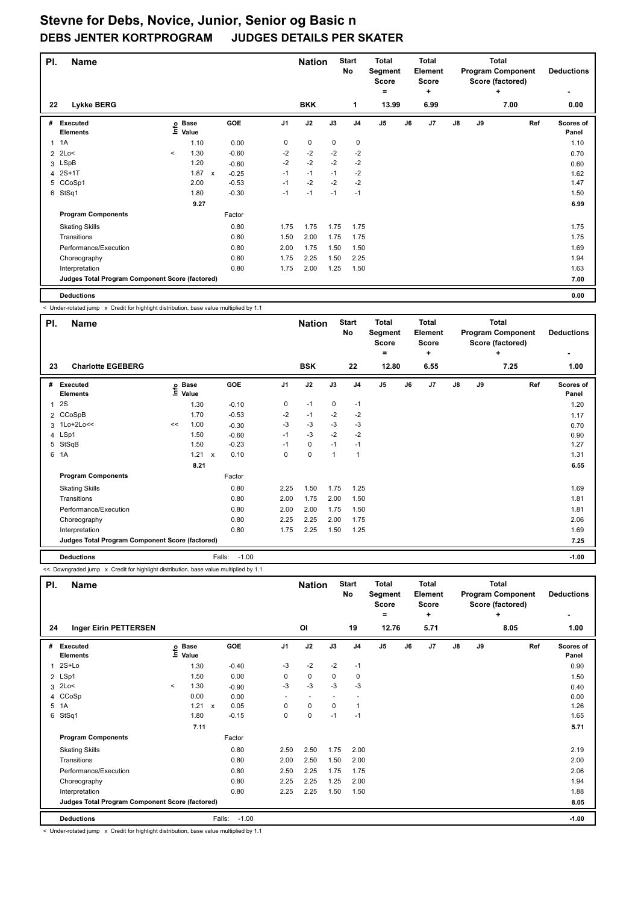| PI.            | <b>Name</b>                                     |              |                      |              |         |                | <b>Nation</b> |      | <b>Start</b><br>No | <b>Total</b><br>Segment<br><b>Score</b><br>۰ |    | <b>Total</b><br>Element<br><b>Score</b><br>÷ |    |    | <b>Total</b><br><b>Program Component</b><br>Score (factored)<br>÷ | <b>Deductions</b>         |
|----------------|-------------------------------------------------|--------------|----------------------|--------------|---------|----------------|---------------|------|--------------------|----------------------------------------------|----|----------------------------------------------|----|----|-------------------------------------------------------------------|---------------------------|
| 22             | Lykke BERG                                      |              |                      |              |         |                | <b>BKK</b>    |      | 1                  | 13.99                                        |    | 6.99                                         |    |    | 7.00                                                              | 0.00                      |
| #              | Executed<br><b>Elements</b>                     | lnfo         | <b>Base</b><br>Value |              | GOE     | J <sub>1</sub> | J2            | J3   | J <sub>4</sub>     | J <sub>5</sub>                               | J6 | J <sub>7</sub>                               | J8 | J9 | Ref                                                               | <b>Scores of</b><br>Panel |
| $\mathbf{1}$   | 1A                                              |              | 1.10                 |              | 0.00    | 0              | 0             | 0    | $\mathbf 0$        |                                              |    |                                              |    |    |                                                                   | 1.10                      |
| $\overline{2}$ | 2Lo<                                            | $\checkmark$ | 1.30                 |              | $-0.60$ | $-2$           | $-2$          | $-2$ | $-2$               |                                              |    |                                              |    |    |                                                                   | 0.70                      |
|                | 3 LSpB                                          |              | 1.20                 |              | $-0.60$ | $-2$           | $-2$          | $-2$ | $-2$               |                                              |    |                                              |    |    |                                                                   | 0.60                      |
|                | 4 2S+1T                                         |              | 1.87                 | $\mathsf{x}$ | $-0.25$ | $-1$           | $-1$          | $-1$ | $-2$               |                                              |    |                                              |    |    |                                                                   | 1.62                      |
|                | 5 CCoSp1                                        |              | 2.00                 |              | $-0.53$ | $-1$           | $-2$          | $-2$ | $-2$               |                                              |    |                                              |    |    |                                                                   | 1.47                      |
| 6              | StSq1                                           |              | 1.80                 |              | $-0.30$ | $-1$           | $-1$          | $-1$ | $-1$               |                                              |    |                                              |    |    |                                                                   | 1.50                      |
|                |                                                 |              | 9.27                 |              |         |                |               |      |                    |                                              |    |                                              |    |    |                                                                   | 6.99                      |
|                | <b>Program Components</b>                       |              |                      |              | Factor  |                |               |      |                    |                                              |    |                                              |    |    |                                                                   |                           |
|                | <b>Skating Skills</b>                           |              |                      |              | 0.80    | 1.75           | 1.75          | 1.75 | 1.75               |                                              |    |                                              |    |    |                                                                   | 1.75                      |
|                | Transitions                                     |              |                      |              | 0.80    | 1.50           | 2.00          | 1.75 | 1.75               |                                              |    |                                              |    |    |                                                                   | 1.75                      |
|                | Performance/Execution                           |              |                      |              | 0.80    | 2.00           | 1.75          | 1.50 | 1.50               |                                              |    |                                              |    |    |                                                                   | 1.69                      |
|                | Choreography                                    |              |                      |              | 0.80    | 1.75           | 2.25          | 1.50 | 2.25               |                                              |    |                                              |    |    |                                                                   | 1.94                      |
|                | Interpretation                                  |              |                      |              | 0.80    | 1.75           | 2.00          | 1.25 | 1.50               |                                              |    |                                              |    |    |                                                                   | 1.63                      |
|                | Judges Total Program Component Score (factored) |              |                      |              |         |                |               |      |                    |                                              |    |                                              |    |    |                                                                   | 7.00                      |
|                | <b>Deductions</b>                               |              |                      |              |         |                |               |      |                    |                                              |    |                                              |    |    |                                                                   | 0.00                      |

< Under-rotated jump x Credit for highlight distribution, base value multiplied by 1.1

| PI.          | <b>Name</b>                                     |    |                            |                      |                | <b>Nation</b> |              | <b>Start</b><br>No | <b>Total</b><br>Segment<br><b>Score</b> |    | <b>Total</b><br>Element<br><b>Score</b> |               |    | <b>Total</b><br><b>Program Component</b><br>Score (factored) | <b>Deductions</b>  |
|--------------|-------------------------------------------------|----|----------------------------|----------------------|----------------|---------------|--------------|--------------------|-----------------------------------------|----|-----------------------------------------|---------------|----|--------------------------------------------------------------|--------------------|
|              |                                                 |    |                            |                      |                |               |              |                    | ۰                                       |    | ٠                                       |               |    | ÷                                                            |                    |
| 23           | <b>Charlotte EGEBERG</b>                        |    |                            |                      |                | <b>BSK</b>    |              | 22                 | 12.80                                   |    | 6.55                                    |               |    | 7.25                                                         | 1.00               |
| #            | Executed<br><b>Elements</b>                     |    | e Base<br>E Value<br>Value | <b>GOE</b>           | J <sub>1</sub> | J2            | J3           | J <sub>4</sub>     | J5                                      | J6 | J7                                      | $\mathsf{J}8$ | J9 | Ref                                                          | Scores of<br>Panel |
| $\mathbf{1}$ | <b>2S</b>                                       |    | 1.30                       | $-0.10$              | 0              | $-1$          | $\mathbf 0$  | $-1$               |                                         |    |                                         |               |    |                                                              | 1.20               |
|              | 2 CCoSpB                                        |    | 1.70                       | $-0.53$              | $-2$           | $-1$          | $-2$         | $-2$               |                                         |    |                                         |               |    |                                                              | 1.17               |
|              | 3 1Lo+2Lo<<                                     | << | 1.00                       | $-0.30$              | -3             | $-3$          | $-3$         | $-3$               |                                         |    |                                         |               |    |                                                              | 0.70               |
|              | 4 LSp1                                          |    | 1.50                       | $-0.60$              | $-1$           | -3            | $-2$         | $-2$               |                                         |    |                                         |               |    |                                                              | 0.90               |
|              | 5 StSqB                                         |    | 1.50                       | $-0.23$              | $-1$           | $\mathbf 0$   | $-1$         | $-1$               |                                         |    |                                         |               |    |                                                              | 1.27               |
|              | 6 1A                                            |    | 1.21                       | 0.10<br>$\mathsf{x}$ | 0              | $\mathbf 0$   | $\mathbf{1}$ | $\overline{1}$     |                                         |    |                                         |               |    |                                                              | 1.31               |
|              |                                                 |    | 8.21                       |                      |                |               |              |                    |                                         |    |                                         |               |    |                                                              | 6.55               |
|              | <b>Program Components</b>                       |    |                            | Factor               |                |               |              |                    |                                         |    |                                         |               |    |                                                              |                    |
|              | <b>Skating Skills</b>                           |    |                            | 0.80                 | 2.25           | 1.50          | 1.75         | 1.25               |                                         |    |                                         |               |    |                                                              | 1.69               |
|              | Transitions                                     |    |                            | 0.80                 | 2.00           | 1.75          | 2.00         | 1.50               |                                         |    |                                         |               |    |                                                              | 1.81               |
|              | Performance/Execution                           |    |                            | 0.80                 | 2.00           | 2.00          | 1.75         | 1.50               |                                         |    |                                         |               |    |                                                              | 1.81               |
|              | Choreography                                    |    |                            | 0.80                 | 2.25           | 2.25          | 2.00         | 1.75               |                                         |    |                                         |               |    |                                                              | 2.06               |
|              | Interpretation                                  |    |                            | 0.80                 | 1.75           | 2.25          | 1.50         | 1.25               |                                         |    |                                         |               |    |                                                              | 1.69               |
|              | Judges Total Program Component Score (factored) |    |                            |                      |                |               |              |                    |                                         |    |                                         |               |    |                                                              | 7.25               |
|              | <b>Deductions</b>                               |    |                            | $-1.00$<br>Falls:    |                |               |              |                    |                                         |    |                                         |               |    |                                                              | $-1.00$            |

<< Downgraded jump x Credit for highlight distribution, base value multiplied by 1.1

| PI.                  | <b>Name</b>                                     |               |                      |                      |                | <b>Nation</b>            |      | <b>Start</b><br><b>No</b> | <b>Total</b><br>Segment<br>Score<br>$=$ |    | Total<br>Element<br><b>Score</b><br>÷ |               |    | Total<br><b>Program Component</b><br>Score (factored)<br>÷ | <b>Deductions</b>  |
|----------------------|-------------------------------------------------|---------------|----------------------|----------------------|----------------|--------------------------|------|---------------------------|-----------------------------------------|----|---------------------------------------|---------------|----|------------------------------------------------------------|--------------------|
| 24                   | <b>Inger Eirin PETTERSEN</b>                    |               |                      |                      |                | <b>OI</b>                |      | 19                        | 12.76                                   |    | 5.71                                  |               |    | 8.05                                                       | 1.00               |
| #                    | <b>Executed</b><br><b>Elements</b>              | $\frac{6}{2}$ | <b>Base</b><br>Value | <b>GOE</b>           | J <sub>1</sub> | J2                       | J3   | J <sub>4</sub>            | J <sub>5</sub>                          | J6 | J <sub>7</sub>                        | $\mathsf{J}8$ | J9 | Ref                                                        | Scores of<br>Panel |
| $\blacktriangleleft$ | $2S+Lo$                                         |               | 1.30                 | $-0.40$              | -3             | $-2$                     | $-2$ | $-1$                      |                                         |    |                                       |               |    |                                                            | 0.90               |
|                      | 2 LSp1                                          |               | 1.50                 | 0.00                 | 0              | $\mathbf 0$              | 0    | 0                         |                                         |    |                                       |               |    |                                                            | 1.50               |
|                      | $3$ 2Lo<                                        | $\prec$       | 1.30                 | $-0.90$              | $-3$           | $-3$                     | $-3$ | $-3$                      |                                         |    |                                       |               |    |                                                            | 0.40               |
|                      | 4 CCoSp                                         |               | 0.00                 | 0.00                 | $\sim$         | $\overline{\phantom{a}}$ |      |                           |                                         |    |                                       |               |    |                                                            | 0.00               |
|                      | 5 1A                                            |               | 1.21                 | 0.05<br>$\mathsf{x}$ | 0              | 0                        | 0    | -1                        |                                         |    |                                       |               |    |                                                            | 1.26               |
| 6                    | StSq1                                           |               | 1.80                 | $-0.15$              | 0              | $\pmb{0}$                | $-1$ | $-1$                      |                                         |    |                                       |               |    |                                                            | 1.65               |
|                      |                                                 |               | 7.11                 |                      |                |                          |      |                           |                                         |    |                                       |               |    |                                                            | 5.71               |
|                      | <b>Program Components</b>                       |               |                      | Factor               |                |                          |      |                           |                                         |    |                                       |               |    |                                                            |                    |
|                      | <b>Skating Skills</b>                           |               |                      | 0.80                 | 2.50           | 2.50                     | 1.75 | 2.00                      |                                         |    |                                       |               |    |                                                            | 2.19               |
|                      | Transitions                                     |               |                      | 0.80                 | 2.00           | 2.50                     | 1.50 | 2.00                      |                                         |    |                                       |               |    |                                                            | 2.00               |
|                      | Performance/Execution                           |               |                      | 0.80                 | 2.50           | 2.25                     | 1.75 | 1.75                      |                                         |    |                                       |               |    |                                                            | 2.06               |
|                      | Choreography                                    |               |                      | 0.80                 | 2.25           | 2.25                     | 1.25 | 2.00                      |                                         |    |                                       |               |    |                                                            | 1.94               |
|                      | Interpretation                                  |               |                      | 0.80                 | 2.25           | 2.25                     | 1.50 | 1.50                      |                                         |    |                                       |               |    |                                                            | 1.88               |
|                      | Judges Total Program Component Score (factored) |               |                      |                      |                |                          |      |                           |                                         |    |                                       |               |    |                                                            | 8.05               |
|                      | <b>Deductions</b>                               |               |                      | $-1.00$<br>Falls:    |                |                          |      |                           |                                         |    |                                       |               |    |                                                            | $-1.00$            |

< Under-rotated jump x Credit for highlight distribution, base value multiplied by 1.1